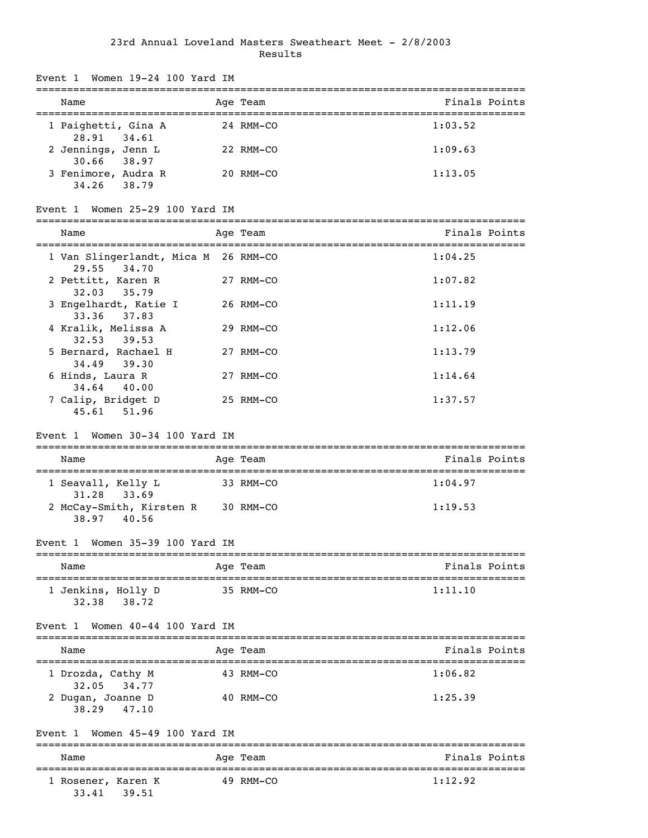## 23rd Annual Loveland Masters Sweatheart Meet - 2/8/2003 Results

| Event 1 Women 19-24 100 Yard IM                                        |           |           |                                         |
|------------------------------------------------------------------------|-----------|-----------|-----------------------------------------|
| Name                                                                   |           | Age Team  | Finals Points                           |
| 1 Paighetti, Gina A<br>28.91 34.61                                     |           | 24 RMM-CO | 1:03.52                                 |
| 2 Jennings, Jenn L<br>30.66 38.97                                      |           | 22 RMM-CO | 1:09.63                                 |
| 3 Fenimore, Audra R<br>34.26 38.79                                     |           | 20 RMM-CO | 1:13.05                                 |
| Women 25-29 100 Yard IM<br>Event 1                                     |           |           |                                         |
| Name                                                                   |           | Age Team  | Finals Points                           |
| 1 Van Slingerlandt, Mica M 26 RMM-CO<br>29.55 34.70                    |           |           | 1:04.25                                 |
| 2 Pettitt, Karen R<br>32.03<br>35.79                                   |           | 27 RMM-CO | 1:07.82                                 |
| 3 Engelhardt, Katie I                                                  |           | 26 RMM-CO | 1:11.19                                 |
| 33.36 37.83<br>4 Kralik, Melissa A                                     |           | 29 RMM-CO | 1:12.06                                 |
| $32.53$ $39.53$<br>5 Bernard, Rachael H                                |           | 27 RMM-CO | 1:13.79                                 |
| 34.49<br>39.30<br>6 Hinds, Laura R                                     |           | 27 RMM-CO | 1:14.64                                 |
| 34.64<br>40.00<br>7 Calip, Bridget D<br>45.61<br>51.96                 |           | 25 RMM-CO | 1:37.57                                 |
| Event 1 Women 30-34 100 Yard IM                                        |           |           |                                         |
| Name                                                                   |           | Age Team  | Finals Points                           |
| 1 Seavall, Kelly L                                                     | 33 RMM-CO |           | 1:04.97                                 |
| 33.69<br>31.28<br>2 McCay-Smith, Kirsten R 30 RMM-CO<br>38.97<br>40.56 |           |           | 1:19.53                                 |
| Event 1 Women 35-39 100 Yard IM                                        |           |           |                                         |
| Name                                                                   |           | Age Team  | Finals Points                           |
| 1 Jenkins, Holly D<br>38.72<br>32.38                                   |           | 35 RMM-CO | 1:11.10                                 |
| Women 40-44 100 Yard IM<br>Event 1                                     |           |           |                                         |
| Name                                                                   |           | Age Team  | ----------------------<br>Finals Points |
| 1 Drozda, Cathy M                                                      |           | 43 RMM-CO | 1:06.82                                 |
| 32.05<br>34.77<br>2 Dugan, Joanne D<br>38.29<br>47.10                  |           | 40 RMM-CO | 1:25.39                                 |
| Women 45-49 100 Yard IM<br>Event 1                                     |           |           |                                         |
| Name                                                                   |           | Age Team  | Finals Points                           |
| l Rosener, Karen K<br>33.41<br>39.51                                   |           | 49 RMM-CO | 1:12.92                                 |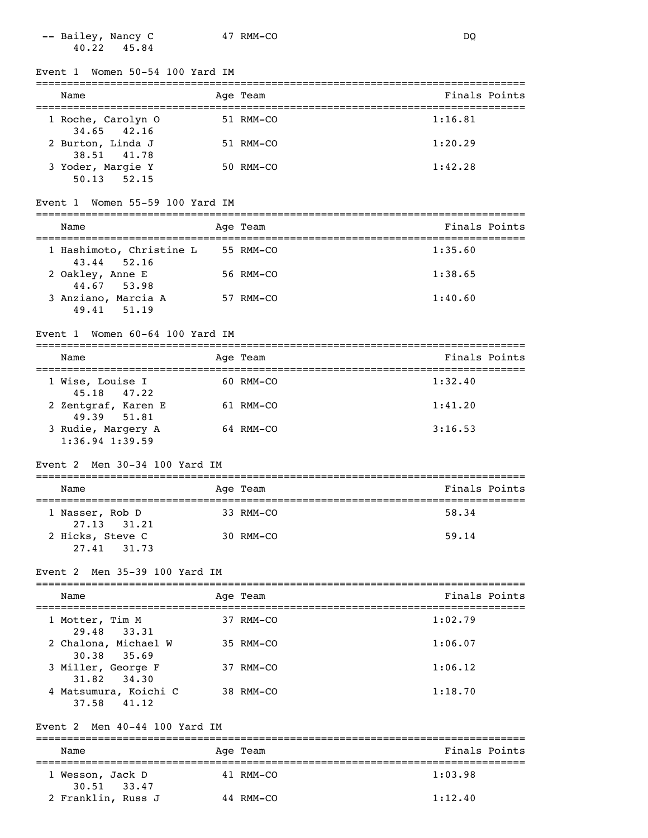-- Bailey, Nancy C 47 RMM-CO DQ 40.22 45.84

Event 1 Women 50-54 100 Yard IM

| Name                                | Age Team  | Finals Points |
|-------------------------------------|-----------|---------------|
| 1 Roche, Carolyn 0<br>34.65 42.16   | 51 RMM-CO | 1:16.81       |
| 2 Burton, Linda J<br>38.51 41.78    | 51 RMM-CO | 1:20.29       |
| 3 Yoder, Margie Y<br>52.15<br>50.13 | 50 RMM-CO | 1:42.28       |

#### Event 1 Women 55-59 100 Yard IM

| Name                                        | Age Team  | Finals Points |
|---------------------------------------------|-----------|---------------|
| 1 Hashimoto, Christine L<br>$43.44$ $52.16$ | 55 RMM-CO | 1:35.60       |
| 2 Oakley, Anne E<br>44.67 53.98             | 56 RMM-CO | 1:38.65       |
| 3 Anziano, Marcia A<br>49.41 51.19          | 57 RMM-CO | 1:40.60       |

#### Event 1 Women 60-64 100 Yard IM

| Name                                              | Age Team  | Finals Points |
|---------------------------------------------------|-----------|---------------|
| 1 Wise, Louise I                                  | 60 RMM-CO | 1:32.40       |
| 45.18 47.22<br>2 Zentgraf, Karen E<br>49.39 51.81 | 61 RMM-CO | 1:41.20       |
| 3 Rudie, Margery A<br>$1:36.94$ 1:39.59           | 64 RMM-CO | 3:16.53       |

### Event 2 Men 30-34 100 Yard IM

| Name                            | Age Team       | Finals Points |  |  |  |
|---------------------------------|----------------|---------------|--|--|--|
| 1 Nasser, Rob D<br>27.13 31.21  | 33 RMM-CO      | 58.34         |  |  |  |
| 2 Hicks, Steve C<br>27.41 31.73 | $30$ RMM $-CO$ | 59.14         |  |  |  |

#### Event 2 Men 35-39 100 Yard IM

| Name                                    | Age Team    | Finals Points |
|-----------------------------------------|-------------|---------------|
| 1 Motter, Tim M<br>29.48<br>33.31       | 37 RMM-CO   | 1:02.79       |
| 2 Chalona, Michael W<br>30.38 35.69     | 35 RMM-CO   | 1:06.07       |
| 3 Miller, George F<br>31.82 34.30       | 37 RMM-CO   | 1:06.12       |
| 4 Matsumura, Koichi C<br>41.12<br>37.58 | $38$ RMM-CO | 1:18.70       |

## Event 2 Men 40-44 100 Yard IM

| Name                                | Age Team  | Finals Points |  |  |  |
|-------------------------------------|-----------|---------------|--|--|--|
| 1 Wesson, Jack D<br>$30.51$ $33.47$ | 41 RMM-CO | 1:03.98       |  |  |  |
| 2 Franklin, Russ J                  | 44 RMM-CO | 1:12.40       |  |  |  |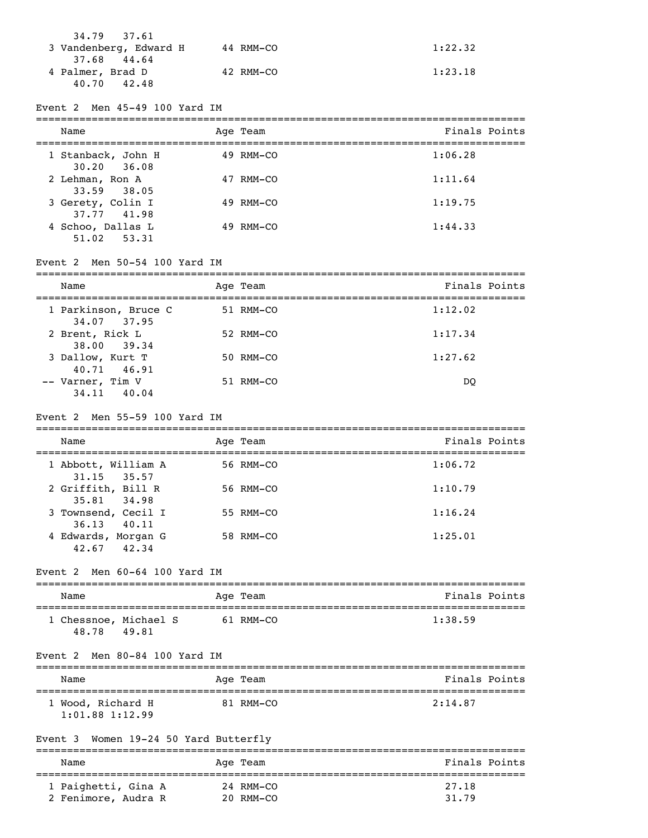| 34.79 37.61<br>3 Vandenberg, Edward H          | 44 RMM-CO | 1:22.32 |
|------------------------------------------------|-----------|---------|
| 37.68 44.64<br>4 Palmer, Brad D<br>40.70 42.48 | 42 RMM-CO | 1:23.18 |

Event 2 Men 45-49 100 Yard IM

| Name                                  |  | Age Team  | Finals Points |  |
|---------------------------------------|--|-----------|---------------|--|
| 1 Stanback, John H<br>$30.20$ $36.08$ |  | 49 RMM-CO | 1:06.28       |  |
| 2 Lehman, Ron A<br>33.59 38.05        |  | 47 RMM-CO | 1:11.64       |  |
| 3 Gerety, Colin I<br>37.77 41.98      |  | 49 RMM-CO | 1:19.75       |  |
| 4 Schoo, Dallas L<br>51.02 53.31      |  | 49 RMM-CO | 1:44.33       |  |

## Event 2 Men 50-54 100 Yard IM

| Name                                | Age Team  | Finals Points |
|-------------------------------------|-----------|---------------|
| 1 Parkinson, Bruce C<br>34.07 37.95 | 51 RMM-CO | 1:12.02       |
| 2 Brent, Rick L<br>38.00 39.34      | 52 RMM-CO | 1:17.34       |
| 3 Dallow, Kurt T<br>40.71 46.91     | 50 RMM-CO | 1:27.62       |
| -- Varner, Tim V<br>34.11 40.04     | 51 RMM-CO | DO            |

#### Event 2 Men 55-59 100 Yard IM

| Name                                   | Age Team  | Finals Points |
|----------------------------------------|-----------|---------------|
| 1 Abbott, William A<br>$31.15$ $35.57$ | 56 RMM-CO | 1:06.72       |
| 2 Griffith, Bill R<br>35.81 34.98      | 56 RMM-CO | 1:10.79       |
| 3 Townsend, Cecil I<br>$36.13$ $40.11$ | 55 RMM-CO | 1:16.24       |
| 4 Edwards, Morgan G<br>42.67 42.34     | 58 RMM-CO | 1:25.01       |

## Event 2 Men 60-64 100 Yard IM

| Name                           |       |  | Age Team  | Finals Points |  |  |
|--------------------------------|-------|--|-----------|---------------|--|--|
| 1 Chessnoe, Michael S<br>48.78 | 49.81 |  | 61 RMM-CO | 1:38.59       |  |  |

#### Event 2 Men 80-84 100 Yard IM

| Name                                     | Age Team  | Finals Points |
|------------------------------------------|-----------|---------------|
| 1 Wood, Richard H<br>$1:01.88$ $1:12.99$ | 81 RMM-CO | 2:14.87       |

## Event 3 Women 19-24 50 Yard Butterfly

| Name                | Age Team    | Finals Points |
|---------------------|-------------|---------------|
| 1 Paighetti, Gina A | $24$ RMM-CO | 27.18         |
| 2 Fenimore, Audra R | 20 RMM-CO   | 31.79         |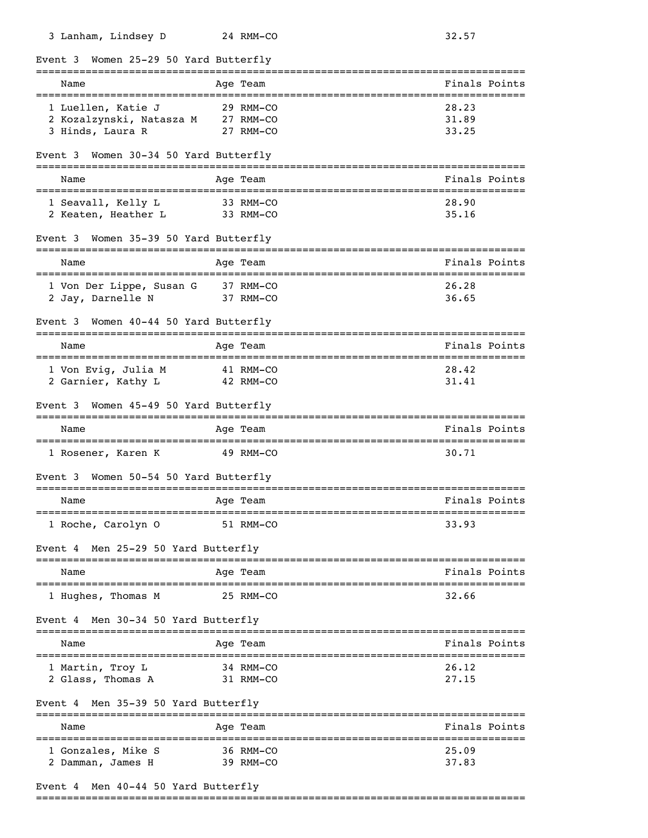| 3 Lanham, Lindsey D                                                | 24 RMM-CO                                      | 32.57                   |
|--------------------------------------------------------------------|------------------------------------------------|-------------------------|
| Women 25-29 50 Yard Butterfly<br>Event 3                           |                                                |                         |
| Name<br>==================================                         | Age Team<br>-================================= | Finals Points           |
| 1 Luellen, Katie J<br>2 Kozalzynski, Natasza M<br>3 Hinds, Laura R | 29 RMM-CO<br>27 RMM-CO<br>27 RMM-CO            | 28.23<br>31.89<br>33.25 |
| Women 30-34 50 Yard Butterfly<br>Event 3                           |                                                |                         |
| Name                                                               | Age Team                                       | Finals Points           |
| 1 Seavall, Kelly L<br>2 Keaten, Heather L                          | 33 RMM-CO<br>33 RMM-CO                         | 28.90<br>35.16          |
| Women 35-39 50 Yard Butterfly<br>Event 3                           |                                                |                         |
| Name                                                               | Age Team                                       | Finals Points           |
| 1 Von Der Lippe, Susan G<br>2 Jay, Darnelle N                      | 37 RMM-CO<br>37 RMM-CO                         | 26.28<br>36.65          |
| Women 40-44 50 Yard Butterfly<br>Event 3                           |                                                |                         |
| Name                                                               | Age Team                                       | Finals Points           |
| 1 Von Evig, Julia M<br>2 Garnier, Kathy L                          | 41 RMM-CO<br>42 RMM-CO                         | 28.42<br>31.41          |
| Women 45-49 50 Yard Butterfly<br>Event 3                           |                                                |                         |
| Name                                                               | Age Team                                       | Finals Points           |
| 1 Rosener, Karen K                                                 | 49 RMM-CO                                      | 30.71                   |
| Women 50-54 50 Yard Butterfly<br>Event 3                           |                                                |                         |
| Name                                                               | Age Team                                       | Finals Points           |
| 1 Roche, Carolyn 0                                                 | 51 RMM-CO                                      | 33.93                   |
| Event 4 Men 25-29 50 Yard Butterfly                                |                                                |                         |
| Name                                                               | Age Team                                       | Finals Points           |
| 1 Hughes, Thomas M                                                 | 25 RMM-CO                                      | 32.66                   |
| Men 30-34 50 Yard Butterfly<br>Event 4                             |                                                |                         |
| Name                                                               | Age Team                                       | Finals Points           |
| 1 Martin, Troy L<br>2 Glass, Thomas A                              | 34 RMM-CO<br>31 RMM-CO                         | 26.12<br>27.15          |
| Men 35-39 50 Yard Butterfly<br>Event 4                             |                                                |                         |
| Name                                                               | Age Team                                       | Finals Points           |
| 1 Gonzales, Mike S<br>2 Damman, James H                            | 36 RMM-CO<br>39 RMM-CO                         | 25.09<br>37.83          |

# Event 4 Men 40-44 50 Yard Butterfly

===============================================================================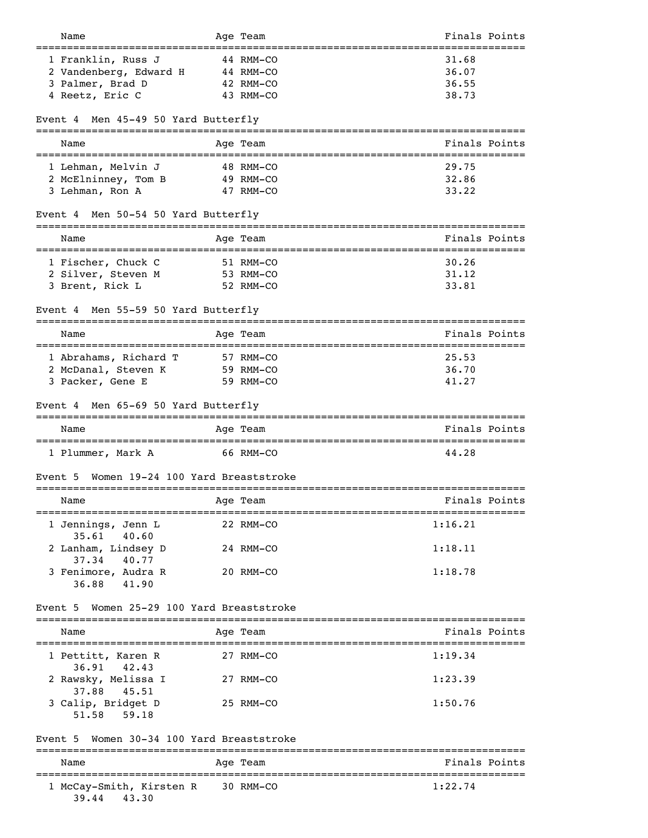|                                                                                  | Age Team                  | Finals Points |
|----------------------------------------------------------------------------------|---------------------------|---------------|
| 1 Franklin, Russ J                                                               | 44 RMM-CO                 | 31.68         |
| 2 Vandenberg, Edward H                                                           | 44 RMM-CO                 | 36.07         |
| 3 Palmer, Brad D                                                                 | 42 RMM-CO                 | 36.55         |
| 4 Reetz, Eric C                                                                  | 43 RMM-CO                 | 38.73         |
|                                                                                  |                           |               |
| Men 45-49 50 Yard Butterfly<br>Event 4                                           |                           |               |
| Name                                                                             | Age Team                  | Finals Points |
| 1 Lehman, Melvin J                                                               | 48 RMM-CO                 | 29.75         |
| 2 McElninney, Tom B                                                              | 49 RMM-CO                 | 32.86         |
| 3 Lehman, Ron A                                                                  | 47 RMM-CO                 | 33.22         |
| Men 50-54 50 Yard Butterfly<br>Event 4<br>_________________________<br>--------- |                           |               |
| Name                                                                             | Age Team                  | Finals Points |
| 1 Fischer, Chuck C                                                               | 51 RMM-CO                 | 30.26         |
| 2 Silver, Steven M                                                               | 53 RMM-CO                 | 31.12         |
| 3 Brent, Rick L                                                                  | 52 RMM-CO                 | 33.81         |
| Men 55-59 50 Yard Butterfly<br>Event 4                                           |                           |               |
| Name                                                                             | Age Team                  | Finals Points |
|                                                                                  |                           |               |
| 1 Abrahams, Richard T                                                            | 57 RMM-CO                 | 25.53         |
| 2 McDanal, Steven K                                                              | 59 RMM-CO                 | 36.70         |
| 3 Packer, Gene E                                                                 | 59 RMM-CO                 | 41.27         |
| Men 65-69 50 Yard Butterfly<br>Event 4                                           |                           |               |
| Name                                                                             | Age Team                  | Finals Points |
| 1 Plummer, Mark A                                                                | 66 RMM-CO                 | 44.28         |
|                                                                                  |                           |               |
| Women 19-24 100 Yard Breaststroke<br>Event 5                                     |                           |               |
| Name                                                                             | -------------<br>Age Team | Finals Points |
|                                                                                  |                           | 1:16.21       |
| 1 Jennings, Jenn L<br>35.61<br>40.60                                             | 22 RMM-CO                 |               |
| 2 Lanham, Lindsey D                                                              | 24 RMM-CO                 | 1:18.11       |
| 37.34<br>40.77                                                                   |                           |               |
| 3 Fenimore, Audra R<br>41.90<br>36.88                                            | 20 RMM-CO                 | 1:18.78       |
| Women 25-29 100 Yard Breaststroke<br>Event 5                                     |                           |               |
| Name                                                                             | Age Team                  | Finals Points |
| 1 Pettitt, Karen R                                                               | 27 RMM-CO                 | 1:19.34       |
| 36.91 42.43                                                                      |                           |               |
| 2 Rawsky, Melissa I<br>37.88<br>45.51                                            | 27 RMM-CO                 | 1:23.39       |
| 3 Calip, Bridget D<br>51.58<br>59.18                                             | 25 RMM-CO                 | 1:50.76       |
| Women 30-34 100 Yard Breaststroke<br>Event 5                                     |                           |               |
| Name                                                                             | =========<br>Age Team     | Finals Points |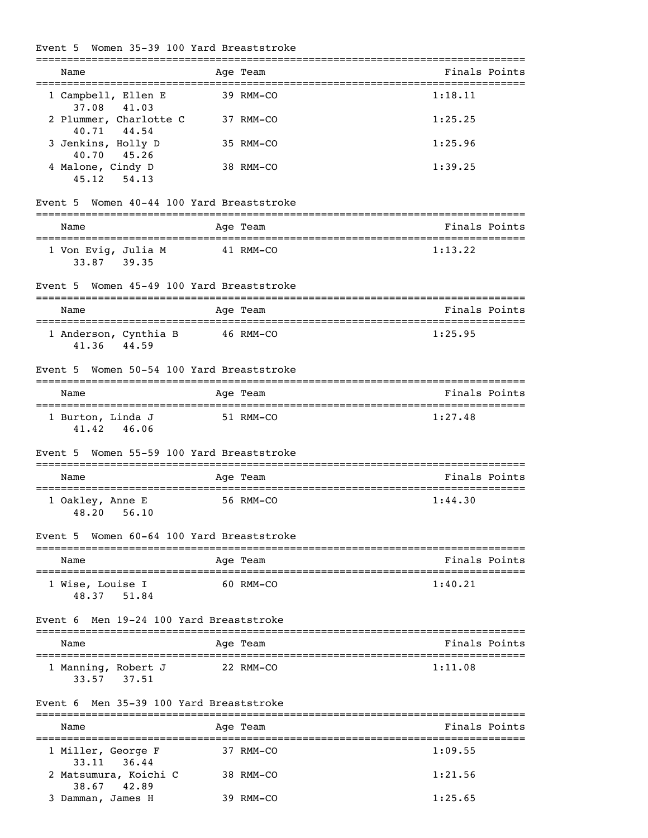## Event 5 Women 35-39 100 Yard Breaststroke

|                                               | ===========                       | _________________________________ |
|-----------------------------------------------|-----------------------------------|-----------------------------------|
| Name                                          | Age Team                          | Finals Points                     |
| 1 Campbell, Ellen E<br>41.03<br>37.08         | 39 RMM-CO                         | 1:18.11                           |
| 2 Plummer, Charlotte C<br>40.71<br>44.54      | 37 RMM-CO                         | 1:25.25                           |
| 3 Jenkins, Holly D<br>40.70 45.26             | 35 RMM-CO                         | 1:25.96                           |
| 4 Malone, Cindy D<br>45.12<br>54.13           | 38 RMM-CO                         | 1:39.25                           |
| Women 40-44 100 Yard Breaststroke<br>Event 5  |                                   |                                   |
| Name                                          | Age Team                          | Finals Points                     |
| 1 Von Evig, Julia M<br>33.87 39.35            | 41 RMM-CO                         | 1:13.22                           |
| Event 5<br>------------------------           | Women 45-49 100 Yard Breaststroke |                                   |
| Name                                          | =============<br>Age Team         | Finals Points                     |
| 1 Anderson, Cynthia B<br>41.36 44.59          | 46 RMM-CO                         | 1:25.95                           |
| Event 5                                       | Women 50-54 100 Yard Breaststroke |                                   |
| Name                                          | Age Team                          | Finals Points                     |
| 1 Burton, Linda J<br>41.42<br>46.06           | 51 RMM-CO                         | 1:27.48                           |
| Event 5 Women 55-59 100 Yard Breaststroke     |                                   | --------------------------------  |
| Name                                          | Age Team                          | Finals Points                     |
| 1 Oakley, Anne E<br>56.10<br>48.20            | 56 RMM-CO                         | 1:44.30                           |
| Event 5 Women 60-64 100 Yard Breaststroke     |                                   |                                   |
| Name                                          | Age Team                          | Finals Points                     |
| 1 Wise, Louise I<br>48.37 51.84               | 60 RMM-CO                         | 1:40.21                           |
| Men 19-24 100 Yard Breaststroke<br>Event 6    |                                   |                                   |
| Name                                          | Age Team                          | Finals Points                     |
| 1 Manning, Robert J<br>33.57 37.51            | 22 RMM-CO                         | 1:11.08                           |
| Men 35-39 100 Yard Breaststroke<br>Event 6    |                                   |                                   |
| Name                                          | Age Team                          | Finals Points                     |
| 1 Miller, George F<br>36.44                   | 37 RMM-CO                         | 1:09.55                           |
| 33.11<br>2 Matsumura, Koichi C<br>38.67 42.89 | 38 RMM-CO                         | 1:21.56                           |

3 Damman, James H 39 RMM-CO 1:25.65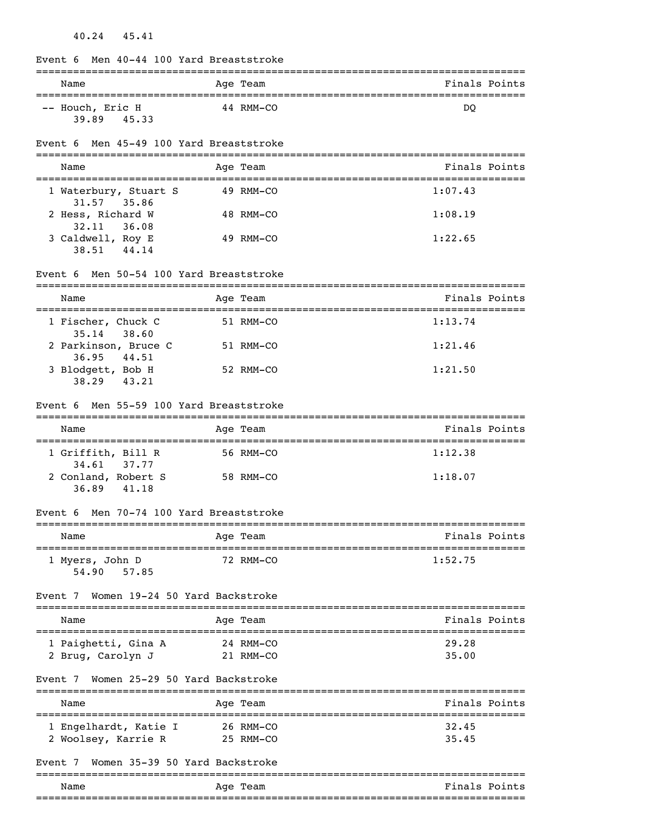| Men 40-44 100 Yard Breaststroke<br>Event 6              |                                 |                     |
|---------------------------------------------------------|---------------------------------|---------------------|
| Name                                                    | ===================<br>Age Team | Finals Points       |
| -- Houch, Eric H<br>39.89 45.33                         | 44 RMM-CO                       | DQ                  |
| Event 6 Men 45-49 100 Yard Breaststroke                 |                                 |                     |
| Name                                                    | Age Team                        | Finals Points       |
| 1 Waterbury, Stuart S<br>31.57 35.86                    | 49 RMM-CO                       | 1:07.43             |
| 2 Hess, Richard W<br>32.11<br>36.08                     | 48 RMM-CO                       | 1:08.19             |
| 3 Caldwell, Roy E<br>44.14<br>38.51                     | 49 RMM-CO                       | 1:22.65             |
| Men 50-54 100 Yard Breaststroke<br>Event 6              |                                 |                     |
| Name<br>==========================                      | Age Team                        | Finals Points       |
| 1 Fischer, Chuck C<br>$35.14$ $38.60$                   | 51 RMM-CO                       | 1:13.74             |
| 2 Parkinson, Bruce C<br>36.95<br>44.51                  | 51 RMM-CO                       | 1:21.46             |
| 3 Blodgett, Bob H<br>38.29 43.21                        | 52 RMM-CO                       | 1:21.50             |
| Event 6 Men 55-59 100 Yard Breaststroke                 |                                 |                     |
| Name                                                    | Age Team                        | Finals Points       |
| 1 Griffith, Bill R                                      | 56 RMM-CO                       | 1:12.38             |
| 37.77<br>34.61<br>2 Conland, Robert S<br>36.89<br>41.18 | 58 RMM-CO                       | 1:18.07             |
| Men 70-74 100 Yard Breaststroke<br>Event 6              |                                 |                     |
| Name                                                    | Age Team                        | Finals Points       |
| 1 Myers, John D<br>57.85<br>54.90                       | 72 RMM-CO                       | 1:52.75             |
| Women 19-24 50 Yard Backstroke<br>Event 7               |                                 |                     |
| Name                                                    | Age Team                        | Finals Points       |
| 1 Paighetti, Gina A<br>2 Brug, Carolyn J                | 24 RMM-CO<br>21 RMM-CO          | 29.28<br>35.00      |
| Women 25-29 50 Yard Backstroke<br>Event 7               |                                 |                     |
| Name                                                    | Age Team                        | Finals Points       |
| 1 Engelhardt, Katie I<br>2 Woolsey, Karrie R            | 26 RMM-CO<br>25 RMM-CO          | 32.45<br>35.45      |
| Women 35-39 50 Yard Backstroke<br>Event 7               |                                 |                     |
| Name                                                    | Age Team                        | Finals Points       |
|                                                         |                                 | :================== |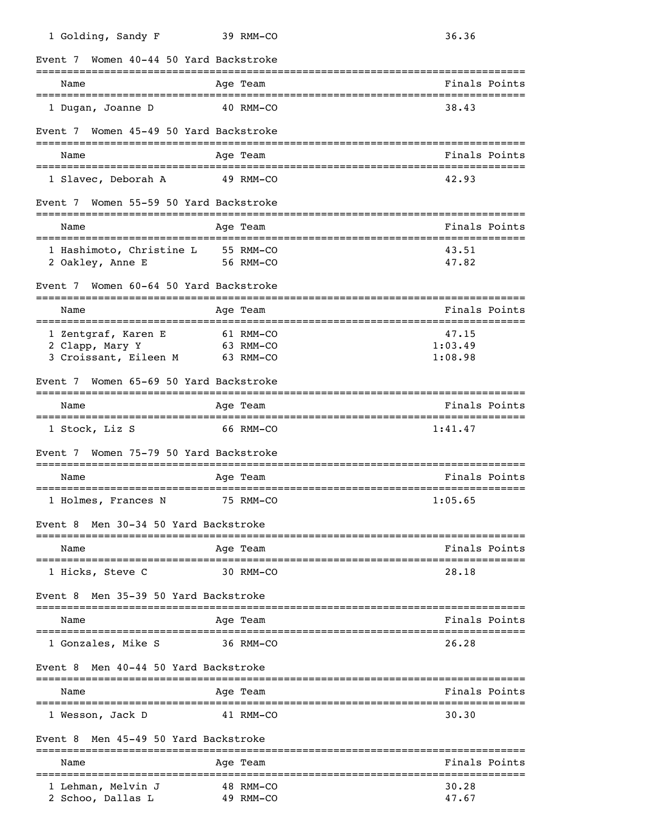| 1 Golding, Sandy F                                              | 39 RMM-CO                           | 36.36                                           |
|-----------------------------------------------------------------|-------------------------------------|-------------------------------------------------|
| Women 40-44 50 Yard Backstroke<br>Event 7                       |                                     |                                                 |
| ----------------------------<br>Name                            | ------------<br>Age Team            | Finals Points                                   |
| 1 Dugan, Joanne D                                               | 40 RMM-CO                           | ======================================<br>38.43 |
| Women 45-49 50 Yard Backstroke<br>Event 7                       |                                     |                                                 |
| Name                                                            | Age Team                            | Finals Points                                   |
| 1 Slavec, Deborah A                                             | 49 RMM-CO                           | 42.93                                           |
| Event 7 Women 55-59 50 Yard Backstroke                          |                                     |                                                 |
| Name                                                            | Age Team                            | Finals Points                                   |
| 1 Hashimoto, Christine L<br>2 Oakley, Anne E                    | 55 RMM-CO<br>56 RMM-CO              | 43.51<br>47.82                                  |
| Women 60-64 50 Yard Backstroke<br>Event 7                       |                                     |                                                 |
| Name                                                            | Age Team                            | Finals Points                                   |
| 1 Zentgraf, Karen E<br>2 Clapp, Mary Y<br>3 Croissant, Eileen M | 61 RMM-CO<br>63 RMM-CO<br>63 RMM-CO | 47.15<br>1:03.49<br>1:08.98                     |
| Event 7 Women 65-69 50 Yard Backstroke                          |                                     |                                                 |
| Name                                                            | Age Team                            | Finals Points                                   |
| 1 Stock, Liz S                                                  | 66 RMM-CO                           | 1:41.47                                         |
| Women 75-79 50 Yard Backstroke<br>Event 7                       |                                     |                                                 |
| Name                                                            | Age Team                            | Finals Points<br>=============================  |
| 1 Holmes, Frances N                                             | 75 RMM-CO                           | 1:05.65                                         |
| Event 8 Men 30-34 50 Yard Backstroke                            |                                     |                                                 |
| Name                                                            | Age Team                            | Finals Points                                   |
| 1 Hicks, Steve C                                                | 30 RMM-CO                           | 28.18                                           |
| Men 35-39 50 Yard Backstroke<br>Event 8                         |                                     |                                                 |
| Name                                                            | Age Team                            | Finals Points                                   |
| 1 Gonzales, Mike S                                              | 36 RMM-CO                           | 26.28                                           |
| Men 40-44 50 Yard Backstroke<br>Event 8                         |                                     |                                                 |
| Name<br>===============================                         | Age Team                            | Finals Points                                   |
| 1 Wesson, Jack D                                                | 41 RMM-CO                           | 30.30                                           |
| Men 45-49 50 Yard Backstroke<br>Event 8                         |                                     |                                                 |
| Name<br>___________________________                             | Age Team<br>----------              | Finals Points<br>=================              |
| 1 Lehman, Melvin J<br>2 Schoo, Dallas L                         | 48 RMM-CO<br>49 RMM-CO              | 30.28<br>47.67                                  |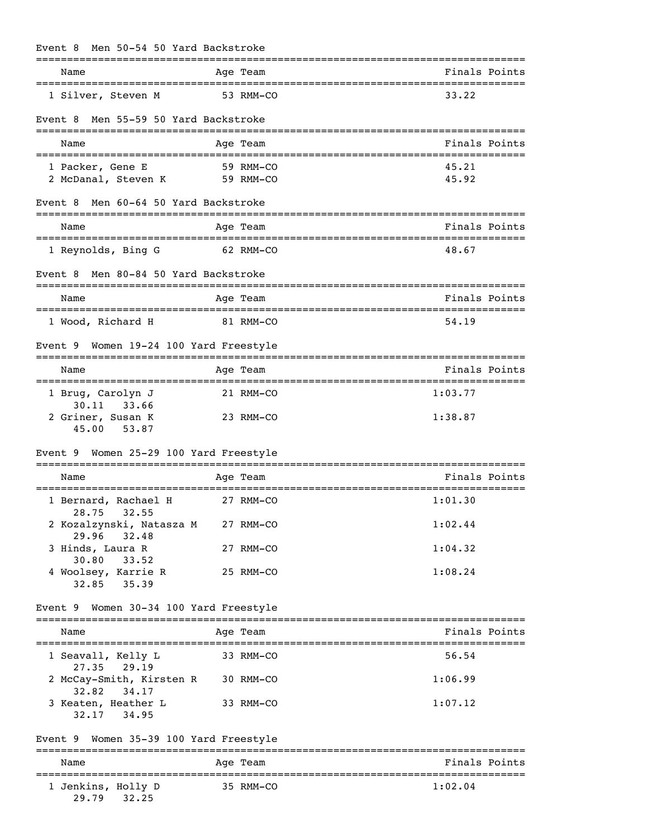| Men 50-54 50 Yard Backstroke<br>Event 8              |                        |                                     |
|------------------------------------------------------|------------------------|-------------------------------------|
| =================================<br>Name            | Age Team               | ==================<br>Finals Points |
| 1 Silver, Steven M                                   | 53 RMM-CO              | 33.22                               |
| Men 55-59 50 Yard Backstroke<br>Event 8              |                        |                                     |
| Name                                                 | Age Team               | Finals Points                       |
| 1 Packer, Gene E<br>2 McDanal, Steven K              | 59 RMM-CO<br>59 RMM-CO | 45.21<br>45.92                      |
| Men 60-64 50 Yard Backstroke<br>Event 8              |                        |                                     |
| Name                                                 | Age Team               | Finals Points                       |
| 1 Reynolds, Bing G                                   | 62 RMM-CO              | 48.67                               |
| Men 80-84 50 Yard Backstroke<br>Event 8              |                        |                                     |
| Name                                                 | Age Team               | Finals Points                       |
| 1 Wood, Richard H                                    | 81 RMM-CO              | 54.19                               |
| Women 19-24 100 Yard Freestyle<br>Event 9            |                        |                                     |
| Name                                                 | Age Team               | Finals Points                       |
| 1 Brug, Carolyn J<br>30.11 33.66                     | 21 RMM-CO              | 1:03.77                             |
| 2 Griner, Susan K<br>53.87<br>45.00                  | 23 RMM-CO              | 1:38.87                             |
| Women 25-29 100 Yard Freestyle<br>Event 9            |                        |                                     |
| Name                                                 | Age Team               | Finals Points                       |
| 1 Bernard, Rachael H<br>28.75 32.55                  | 27 RMM-CO              | 1:01.30                             |
| 2 Kozalzynski, Natasza M 27 RMM-CO<br>29.96<br>32.48 |                        | 1:02.44                             |
| 3 Hinds, Laura R<br>30.80<br>33.52                   | 27 RMM-CO              | 1:04.32                             |
| 4 Woolsey, Karrie R<br>35.39<br>32.85                | 25 RMM-CO              | 1:08.24                             |
| Event 9 Women 30-34 100 Yard Freestyle               |                        |                                     |
| Name                                                 | Age Team               | Finals Points                       |
| 1 Seavall, Kelly L                                   | 33 RMM-CO              | 56.54                               |
| 27.35<br>29.19<br>2 McCay-Smith, Kirsten R 30 RMM-CO |                        | 1:06.99                             |
| 32.82<br>34.17<br>3 Keaten, Heather L<br>32.17 34.95 | 33 RMM-CO              | 1:07.12                             |
| Event 9 Women 35-39 100 Yard Freestyle               |                        |                                     |
| Name                                                 | Age Team               | Finals Points                       |
| 1 Jenkins, Holly D<br>29.79<br>32.25                 | 35 RMM-CO              | 1:02.04                             |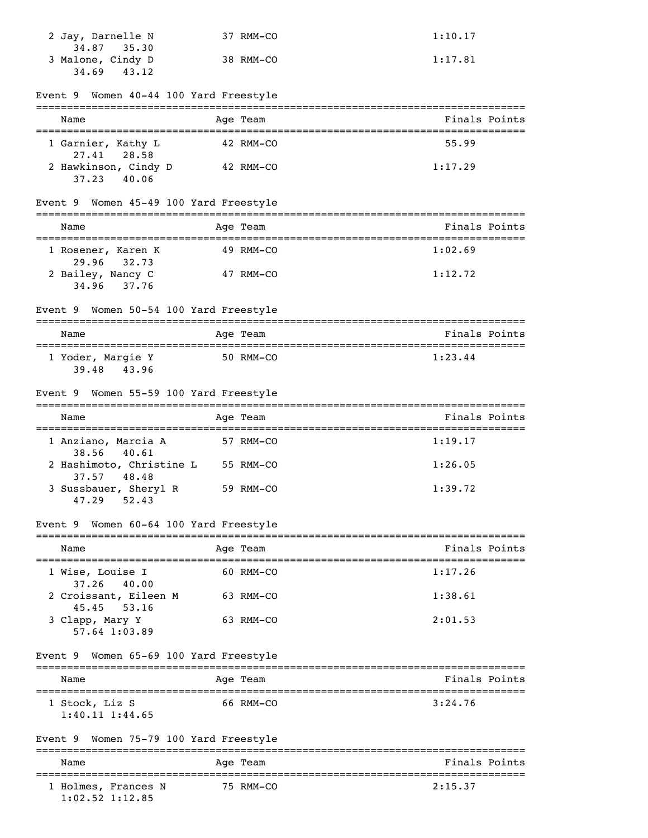| 2 Jay, Darnelle N<br>34.87 35.30 | 37 RMM-CO | 1:10.17 |
|----------------------------------|-----------|---------|
| 3 Malone, Cindy D<br>34.69 43.12 | 38 RMM-CO | 1:17.81 |

| Event 9 Women 40-44 100 Yard Freestyle             |           |               |
|----------------------------------------------------|-----------|---------------|
| Name                                               | Age Team  | Finals Points |
| 1 Garnier, Kathy L<br>28.58<br>27.41               | 42 RMM-CO | 55.99         |
| 2 Hawkinson, Cindy D<br>37.23 40.06                | 42 RMM-CO | 1:17.29       |
| Event 9 Women 45-49 100 Yard Freestyle             |           |               |
| Name                                               | Age Team  | Finals Points |
| 1 Rosener, Karen K<br>29.96<br>32.73               | 49 RMM-CO | 1:02.69       |
| 2 Bailey, Nancy C<br>34.96 37.76                   | 47 RMM-CO | 1:12.72       |
| Event 9 Women 50-54 100 Yard Freestyle             |           |               |
| Name<br>------------------------                   | Age Team  | Finals Points |
| 1 Yoder, Margie Y<br>39.48 43.96                   | 50 RMM-CO | 1:23.44       |
| Event 9 Women 55-59 100 Yard Freestyle             |           |               |
| Name                                               | Age Team  | Finals Points |
| 1 Anziano, Marcia A<br>40.61<br>38.56              | 57 RMM-CO | 1:19.17       |
| 2 Hashimoto, Christine L<br>37.57<br>48.48         | 55 RMM-CO | 1:26.05       |
| 3 Sussbauer, Sheryl R<br>52.43<br>47.29            | 59 RMM-CO | 1:39.72       |
| Women 60-64 100 Yard Freestyle<br>Event 9          |           |               |
| Name                                               | Age Team  | Finals Points |
| 1 Wise, Louise I<br>40.00<br>37.26                 | 60 RMM-CO | 1:17.26       |
| 2 Croissant, Eileen M                              | 63 RMM-CO | 1:38.61       |
| 53.16<br>45.45<br>3 Clapp, Mary Y<br>57.64 1:03.89 | 63 RMM-CO | 2:01.53       |
| Event 9 Women 65-69 100 Yard Freestyle             |           |               |
| Name                                               | Age Team  | Finals Points |
| 1 Stock, Liz S<br>$1:40.11$ $1:44.65$              | 66 RMM-CO | 3:24.76       |
| Event 9 Women 75-79 100 Yard Freestyle             |           |               |
| Name                                               | Age Team  | Finals Points |
| 1 Holmes, Frances N                                | 75 RMM-CO | 2:15.37       |

1:02.52 1:12.85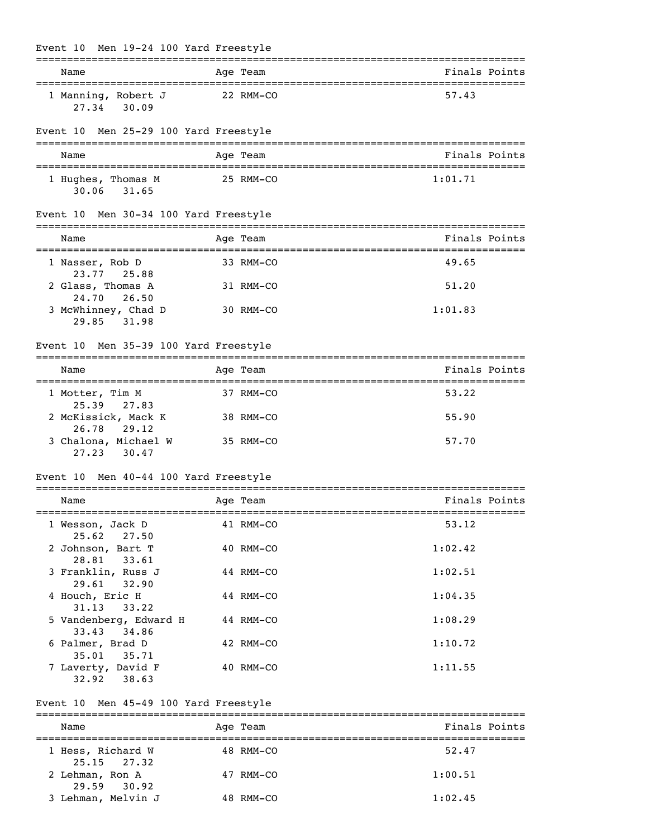| Men 19-24 100 Yard Freestyle<br>Event 10                |           |                                            |
|---------------------------------------------------------|-----------|--------------------------------------------|
| Name                                                    | Aqe Team  | Finals Points                              |
| 1 Manning, Robert J<br>30.09<br>27.34                   | 22 RMM-CO | 57.43                                      |
| Men 25-29 100 Yard Freestyle<br>Event 10                |           |                                            |
| Name<br>=========================                       | Age Team  | Finals Points                              |
| 1 Hughes, Thomas M<br>31.65<br>30.06                    | 25 RMM-CO | 1:01.71                                    |
| Men 30-34 100 Yard Freestyle<br>Event 10                |           |                                            |
| Name                                                    | Age Team  | Finals Points                              |
| ===========================<br>1 Nasser, Rob D          | 33 RMM-CO | 49.65                                      |
| 23.77 25.88<br>2 Glass, Thomas A                        | 31 RMM-CO | 51.20                                      |
| 24.70<br>26.50<br>3 McWhinney, Chad D<br>31.98<br>29.85 | 30 RMM-CO | 1:01.83                                    |
| Men 35-39 100 Yard Freestyle<br>Event 10                |           |                                            |
| Name                                                    | Age Team  | Finals Points                              |
| 1 Motter, Tim M                                         | 37 RMM-CO | 53.22                                      |
| 25.39<br>27.83<br>2 McKissick, Mack K                   | 38 RMM-CO | 55.90                                      |
| 29.12<br>26.78<br>3 Chalona, Michael W<br>27.23 30.47   | 35 RMM-CO | 57.70                                      |
| Men 40-44 100 Yard Freestyle<br>Event 10                |           |                                            |
| Name                                                    | Age Team  | _________________________<br>Finals Points |
| 1 Wesson, Jack D                                        | 41 RMM-CO | 53.12                                      |
| 25.62 27.50<br>2 Johnson, Bart T                        | 40 RMM-CO | 1:02.42                                    |
| 28.81 33.61<br>3 Franklin, Russ J                       | 44 RMM-CO | 1:02.51                                    |
| 32.90<br>29.61<br>4 Houch, Eric H                       | 44 RMM-CO | 1:04.35                                    |
| 31.13<br>33.22<br>5 Vandenberg, Edward H                | 44 RMM-CO | 1:08.29                                    |
| 33.43 34.86<br>6 Palmer, Brad D                         | 42 RMM-CO | 1:10.72                                    |
| 35.01 35.71<br>7 Laverty, David F<br>$32.92$ $38.63$    | 40 RMM-CO | 1:11.55                                    |
| Event 10 Men 45-49 100 Yard Freestyle                   |           |                                            |
| Name                                                    | Age Team  | Finals Points                              |
| 1 Hess, Richard W                                       | 48 RMM-CO | 52.47                                      |
| $25.15$ $27.32$<br>2 Lehman, Ron A                      | 47 RMM-CO | 1:00.51                                    |

3 Lehman, Melvin J 48 RMM-CO 1:02.45

29.59 30.92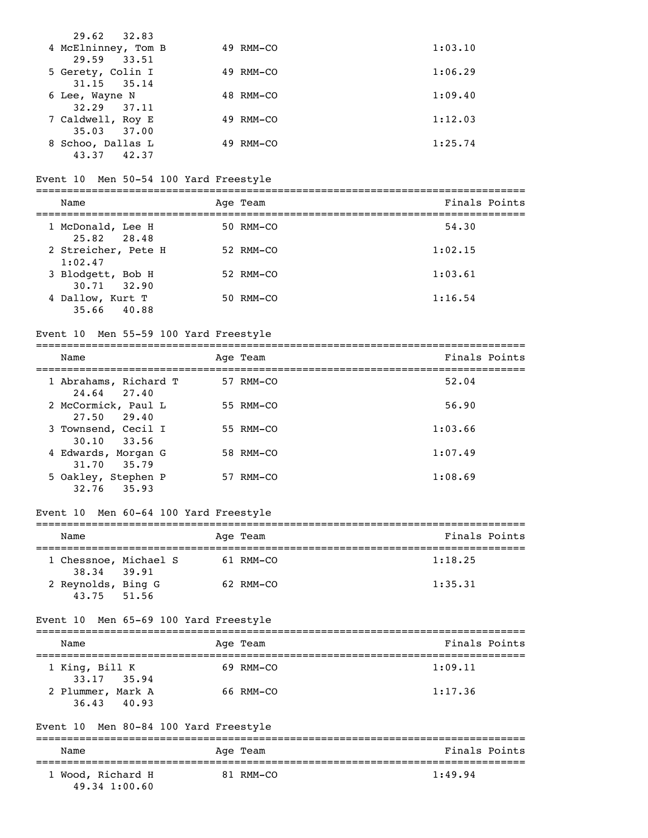| 29.62 32.83         |              |         |
|---------------------|--------------|---------|
| 4 McElninney, Tom B | 49 RMM-CO    | 1:03.10 |
| 29.59 33.51         |              |         |
| 5 Gerety, Colin I   | 49 RMM-CO    | 1:06.29 |
| $31.15$ $35.14$     |              |         |
| 6 Lee, Wayne N      | 48 RMM-CO    | 1:09.40 |
| $32.29$ $37.11$     |              |         |
| 7 Caldwell, Roy E   | 49 RMM-CO    | 1:12.03 |
| $35.03$ $37.00$     |              |         |
| 8 Schoo, Dallas L   | RMM-CO<br>49 | 1:25.74 |
| 42.37<br>43.37      |              |         |

#### Event 10 Men 50-54 100 Yard Freestyle

| Name                                 | Age Team  | Finals Points |
|--------------------------------------|-----------|---------------|
| 1 McDonald, Lee H<br>25.82 28.48     | 50 RMM-CO | 54.30         |
| 2 Streicher, Pete H<br>1:02.47       | 52 RMM-CO | 1:02.15       |
| 3 Blodgett, Bob H<br>$30.71$ $32.90$ | 52 RMM-CO | 1:03.61       |
| 4 Dallow, Kurt T<br>35.66 40.88      | 50 RMM-CO | 1:16.54       |

#### Event 10 Men 55-59 100 Yard Freestyle

| Name                                   | Age Team  | Finals Points |
|----------------------------------------|-----------|---------------|
| 1 Abrahams, Richard T<br>24.64 27.40   | 57 RMM-CO | 52.04         |
| 2 McCormick, Paul L<br>27.50 29.40     | 55 RMM-CO | 56.90         |
| 3 Townsend, Cecil I<br>$30.10$ $33.56$ | 55 RMM-CO | 1:03.66       |
| 4 Edwards, Morgan G<br>31.70 35.79     | 58 RMM-CO | 1:07.49       |
| 5 Oakley, Stephen P<br>32.76 35.93     | 57 RMM-CO | 1:08.69       |

## Event 10 Men 60-64 100 Yard Freestyle

| Name                                 |  | Age Team  | Finals Points |
|--------------------------------------|--|-----------|---------------|
| 1 Chessnoe, Michael S<br>38.34 39.91 |  | 61 RMM-CO | 1:18.25       |
| 2 Reynolds, Bing G<br>43.75 51.56    |  | 62 RMM-CO | 1:35.31       |

#### Event 10 Men 65-69 100 Yard Freestyle

| Name                                | Age Team  | Finals Points |
|-------------------------------------|-----------|---------------|
| 1 King, Bill K<br>$33.17$ $35.94$   | 69 RMM-CO | 1:09.11       |
| 2 Plummer, Mark A<br>36.43<br>40.93 | 66 RMM-CO | 1:17.36       |

### Event 10 Men 80-84 100 Yard Freestyle =============================================================================== Name Age Team Age Team Finals Points =============================================================================== 1 Wood, Richard H

49.34 1:00.60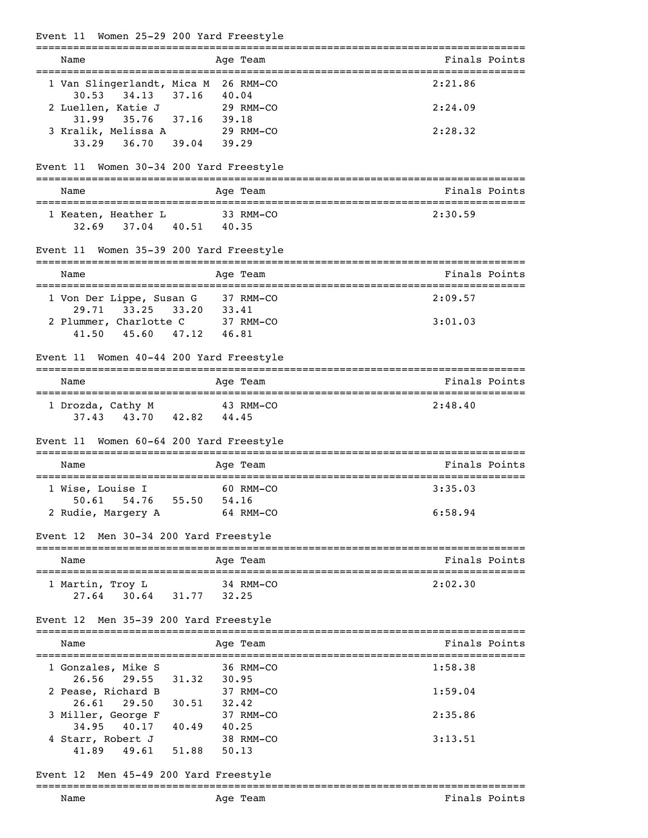| Event 11 Women 25-29 200 Yard Freestyle                                            |                                               |                 |
|------------------------------------------------------------------------------------|-----------------------------------------------|-----------------|
| Name                                                                               | Age Team                                      | Finals Points   |
| 1 Van Slingerlandt, Mica M 26 RMM-CO                                               |                                               | 2:21.86         |
| 34.13 37.16<br>30.53<br>2 Luellen, Katie J 29 RMM-CO<br>35.76 37.16 39.18<br>31.99 | 40.04                                         | 2:24.09         |
| 3 Kralik, Melissa A 29 RMM-CO<br>36.70 39.04 39.29<br>33.29                        |                                               | 2:28.32         |
| Event 11 Women 30-34 200 Yard Freestyle                                            |                                               |                 |
| Name                                                                               | Age Team                                      | Finals Points   |
| 1 Keaten, Heather L 33 RMM-CO<br>32.69 37.04 40.51 40.35                           |                                               | 2:30.59         |
| Event 11 Women 35-39 200 Yard Freestyle                                            |                                               |                 |
| Name                                                                               | Age Team                                      | Finals Points   |
| 1 Von Der Lippe, Susan G 37 RMM-CO<br>29.71<br>33.25 33.20 33.41                   |                                               | 2:09.57         |
| 2 Plummer, Charlotte C 37 RMM-CO<br>45.60 47.12<br>41.50                           | 46.81                                         | 3:01.03         |
| Event 11 Women 40-44 200 Yard Freestyle                                            |                                               |                 |
| Name                                                                               | Age Team                                      | Finals Points   |
| 1 Drozda, Cathy M 43 RMM-CO<br>37.43 43.70 42.82 44.45                             |                                               | 2:48.40         |
| Event 11 Women 60-64 200 Yard Freestyle                                            |                                               |                 |
| Name                                                                               | Age Team                                      | Finals Points   |
| 1 Wise, Louise I                                                                   | 60 RMM-CO                                     | 3:35.03         |
| 50.61 54.76 55.50 54.16<br>2 Rudie, Margery A                                      | 64 RMM-CO                                     | 6:58.94         |
| Event 12 Men 30-34 200 Yard Freestyle                                              |                                               | =============== |
| Name                                                                               | Age Team                                      | Finals Points   |
| 1 Martin, Troy L<br>30.64 31.77 32.25<br>27.64                                     | 34 RMM-CO                                     | 2:02.30         |
| Event 12 Men 35-39 200 Yard Freestyle                                              |                                               |                 |
| Name                                                                               | Age Team                                      | Finals Points   |
| 1 Gonzales, Mike S                                                                 | 36 RMM-CO                                     | 1:58.38         |
| 29.55<br>26.56<br>2 Pease, Richard B<br>26.61<br>29.50                             | 31.32<br>30.95<br>37 RMM-CO<br>30.51<br>32.42 | 1:59.04         |
| 3 Miller, George F                                                                 | 37 RMM-CO                                     | 2:35.86         |
| 34.95<br>40.17<br>4 Starr, Robert J<br>41.89<br>49.61<br>51.88                     | 40.49<br>40.25<br>38 RMM-CO<br>50.13          | 3:13.51         |
| Men 45-49 200 Yard Freestyle<br>Event 12                                           |                                               |                 |
| Name                                                                               | Age Team                                      | Finals Points   |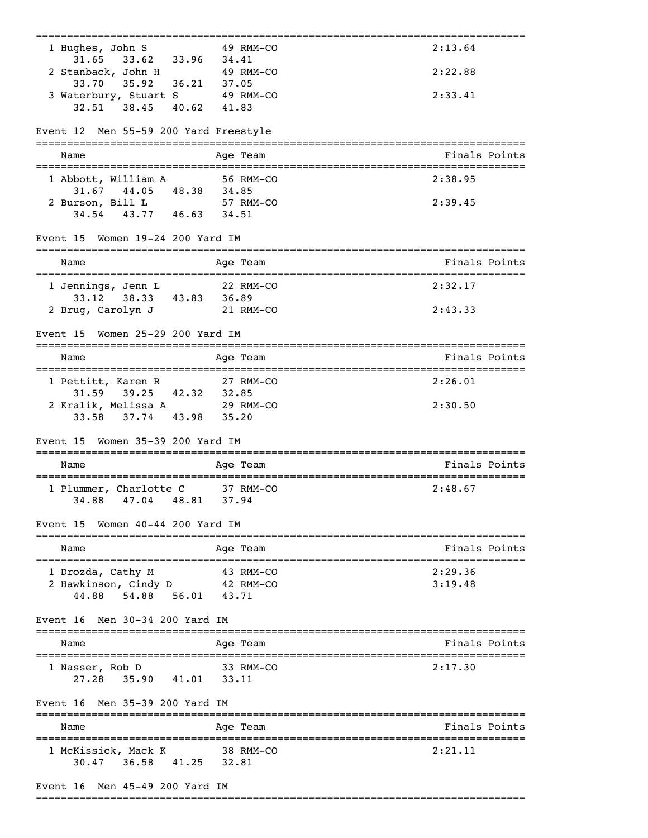| 1 Hughes, John S                                           | 49 RMM-CO              | 2:13.64            |
|------------------------------------------------------------|------------------------|--------------------|
| 33.62 33.96 34.41<br>31.65<br>2 Stanback, John H 49 RMM-CO |                        | 2:22.88            |
| 33.70 35.92 36.21 37.05                                    |                        |                    |
| 3 Waterbury, Stuart S 49 RMM-CO<br>32.51 38.45 40.62 41.83 |                        | 2:33.41            |
|                                                            |                        |                    |
| Event 12 Men 55-59 200 Yard Freestyle                      |                        |                    |
| Name                                                       | Age Team               | Finals Points      |
| 1 Abbott, William A                                        | 56 RMM-CO              | 2:38.95            |
| $31.67$ $44.05$ $48.38$ $34.85$<br>2 Burson, Bill L        | 57 RMM-CO              | 2:39.45            |
| 34.54 43.77 46.63 34.51                                    |                        |                    |
| Event 15 Women 19-24 200 Yard IM                           |                        |                    |
| Name                                                       |                        | Finals Points      |
|                                                            | Age Team               |                    |
| 1 Jennings, Jenn L                                         | 22 RMM-CO              | 2:32.17            |
| 33.12 38.33 43.83 36.89<br>2 Brug, Carolyn J               | 21 RMM-CO              | 2:43.33            |
| Women 25-29 200 Yard IM<br>Event 15                        |                        |                    |
|                                                            |                        |                    |
| Name                                                       | Age Team               | Finals Points      |
| 1 Pettitt, Karen R                                         | 27 RMM-CO              | 2:26.01            |
| 31.59 39.25 42.32 32.85<br>2 Kralik, Melissa A             | 29 RMM-CO              | 2:30.50            |
| 33.58 37.74 43.98                                          | 35.20                  |                    |
| Event 15 Women 35-39 200 Yard IM                           |                        |                    |
| Name                                                       | Age Team               | Finals Points      |
| 1 Plummer, Charlotte C 37 RMM-CO                           | :==========            | =======<br>2:48.67 |
| 34.88<br>47.04 48.81                                       | 37.94                  |                    |
| Women 40-44 200 Yard IM<br>Event 15                        |                        |                    |
| Name                                                       | Age Team               | Finals Points      |
|                                                            |                        |                    |
| 1 Drozda, Cathy M<br>2 Hawkinson, Cindy D                  | 43 RMM-CO<br>42 RMM-CO | 2:29.36<br>3:19.48 |
| 44.88 54.88 56.01 43.71                                    |                        |                    |
| Event 16<br>Men 30-34 200 Yard IM                          |                        |                    |
| Name                                                       | Age Team               | Finals Points      |
|                                                            |                        |                    |
| 1 Nasser, Rob D<br>$27.28$ $35.90$ $41.01$                 | 33 RMM-CO<br>33.11     | 2:17.30            |
|                                                            |                        |                    |
| Event 16 Men 35-39 200 Yard IM                             | -------                |                    |
| Name                                                       | Age Team               | Finals Points      |
| 1 McKissick, Mack K                                        | 38 RMM-CO              | 2:21.11            |
| 36.58<br>30.47                                             | 41.25 32.81            |                    |
| Event 16 Men 45-49 200 Yard IM                             |                        |                    |

===============================================================================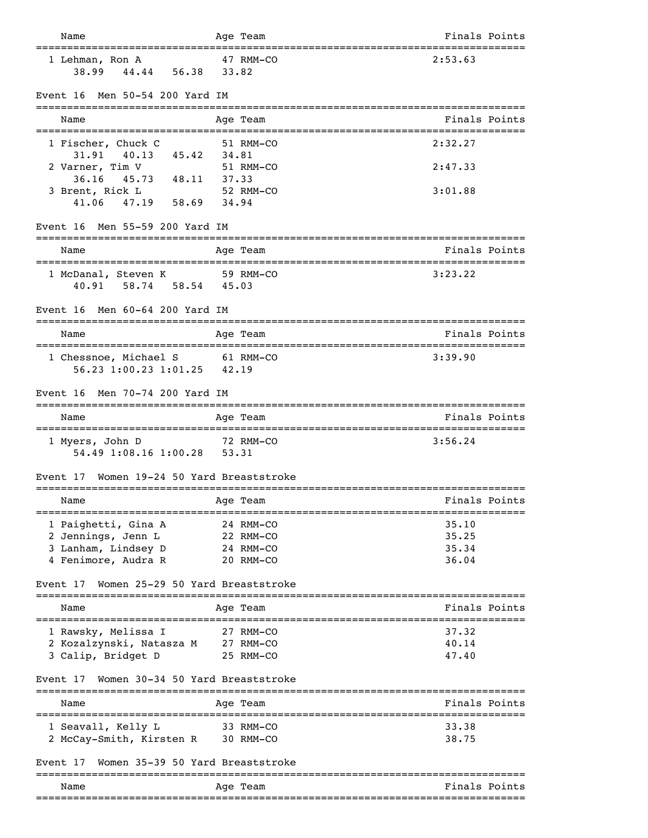| Name                                                                                 | Age Team                                       | Finals Points                            |
|--------------------------------------------------------------------------------------|------------------------------------------------|------------------------------------------|
| ===================================<br>1 Lehman, Ron A<br>44.44 56.38 33.82<br>38.99 | =================================<br>47 RMM-CO | 2:53.63                                  |
| Men 50-54 200 Yard IM<br>Event 16                                                    |                                                |                                          |
| Name                                                                                 | Age Team                                       | Finals Points                            |
| 1 Fischer, Chuck C<br>31.91 40.13 45.42 34.81                                        | 51 RMM-CO                                      | 2:32.27                                  |
| 2 Varner, Tim V                                                                      | 51 RMM-CO                                      | 2:47.33                                  |
| 36.16 45.73 48.11 37.33<br>3 Brent, Rick L<br>47.19 58.69 34.94<br>41.06             | 52 RMM-CO                                      | 3:01.88                                  |
| Men 55-59 200 Yard IM<br>Event 16                                                    |                                                |                                          |
| Name                                                                                 | Age Team                                       | Finals Points                            |
| ======================================<br>1 McDanal, Steven K                        | =================================<br>59 RMM-CO | 3:23.22                                  |
| 40.91 58.74 58.54 45.03                                                              |                                                |                                          |
| Event 16 Men 60-64 200 Yard IM                                                       |                                                |                                          |
| Name                                                                                 | Age Team                                       | Finals Points                            |
| 1 Chessnoe, Michael S 61 RMM-CO<br>56.23 1:00.23 1:01.25 42.19                       |                                                | 3:39.90                                  |
| Men 70-74 200 Yard IM<br>Event 16                                                    |                                                |                                          |
| Name                                                                                 | Age Team                                       | Finals Points                            |
| 1 Myers, John D<br>54.49 1:08.16 1:00.28 53.31                                       | 72 RMM-CO                                      | 3:56.24                                  |
| Women 19-24 50 Yard Breaststroke<br>Event 17                                         |                                                |                                          |
| Name                                                                                 | Age Team                                       | Finals Points                            |
| 1 Paighetti, Gina A                                                                  | 24 RMM-CO                                      | ===============================<br>35.10 |
| 2 Jennings, Jenn L<br>3 Lanham, Lindsey D                                            | 22 RMM-CO<br>24 RMM-CO                         | 35.25                                    |
| 4 Fenimore, Audra R                                                                  | 20 RMM-CO                                      | 35.34<br>36.04                           |
| Women 25-29 50 Yard Breaststroke<br>Event 17<br>___________________________________  |                                                |                                          |
| Name                                                                                 | Age Team                                       | Finals Points                            |
| 1 Rawsky, Melissa I                                                                  | 27 RMM-CO                                      | 37.32                                    |
| 2 Kozalzynski, Natasza M 27 RMM-CO                                                   |                                                | 40.14                                    |
| 3 Calip, Bridget D                                                                   | 25 RMM-CO                                      | 47.40                                    |
| Women 30-34 50 Yard Breaststroke<br>Event 17                                         |                                                |                                          |
| Name                                                                                 | Age Team                                       | Finals Points                            |
| 1 Seavall, Kelly L<br>2 McCay-Smith, Kirsten R 30 RMM-CO                             | 33 RMM-CO                                      | 33.38<br>38.75                           |
| Women 35-39 50 Yard Breaststroke<br>Event 17                                         |                                                |                                          |
| Name                                                                                 | ==========                                     | Finals Points                            |
|                                                                                      | Age Team                                       |                                          |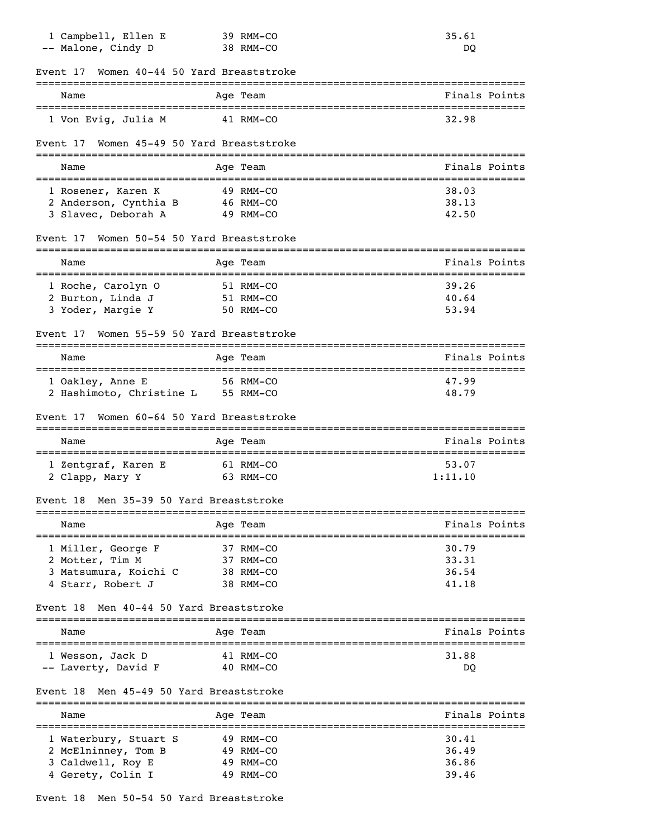| Women 40-44 50 Yard Breaststroke<br>Event 17                                    |                |
|---------------------------------------------------------------------------------|----------------|
| --------------------------------                                                |                |
| Name<br>Age Team<br>=====================================                       | Finals Points  |
| 1 Von Evig, Julia M<br>41 RMM-CO                                                | 32.98          |
| Women 45-49 50 Yard Breaststroke<br>Event 17                                    |                |
| Name<br>Age Team                                                                | Finals Points  |
| 1 Rosener, Karen K<br>49 RMM-CO                                                 | 38.03          |
| 2 Anderson, Cynthia B<br>46 RMM-CO<br>3 Slavec, Deborah A<br>49 RMM-CO          | 38.13<br>42.50 |
| Women 50-54 50 Yard Breaststroke<br>Event 17                                    |                |
| Name<br>Age Team<br>--------------------------<br>============================= | Finals Points  |
| 1 Roche, Carolyn O<br>51 RMM-CO                                                 | 39.26          |
| 2 Burton, Linda J<br>51 RMM-CO<br>3 Yoder, Margie Y<br>50 RMM-CO                | 40.64<br>53.94 |
| Women 55-59 50 Yard Breaststroke<br>Event 17                                    |                |
| Age Team<br>Name                                                                | Finals Points  |
|                                                                                 |                |
|                                                                                 | 47.99          |
| 1 Oakley, Anne E<br>56 RMM-CO<br>2 Hashimoto, Christine L<br>55 RMM-CO          | 48.79          |
| Women 60-64 50 Yard Breaststroke<br>Event 17                                    |                |
| Name<br>Age Team                                                                | Finals Points  |
| 1 Zentgraf, Karen E<br>61 RMM-CO                                                | 53.07          |
| 2 Clapp, Mary Y<br>63 RMM-CO                                                    | 1:11.10        |
| Men 35-39 50 Yard Breaststroke<br>Event 18<br>---------                         |                |
| Name<br>Age Team                                                                | Finals Points  |
| 1 Miller, George F<br>37 RMM-CO                                                 | 30.79          |
| 2 Motter, Tim M<br>37 RMM-CO                                                    | 33.31          |
| 3 Matsumura, Koichi C<br>38 RMM-CO<br>4 Starr, Robert J<br>38 RMM-CO            | 36.54<br>41.18 |
| Men 40-44 50 Yard Breaststroke<br>Event 18                                      |                |
| Age Team<br>Name                                                                | Finals Points  |
| 1 Wesson, Jack D<br>41 RMM-CO                                                   | 31.88          |
| -- Laverty, David F<br>40 RMM-CO                                                | DQ             |
| Men 45-49 50 Yard Breaststroke<br>Event 18<br>===========                       |                |
| Name<br>Age Team<br>==============================                              | Finals Points  |
| 1 Waterbury, Stuart S<br>49 RMM-CO                                              | 30.41          |
| 2 McElninney, Tom B<br>49 RMM-CO<br>3 Caldwell, Roy E<br>49 RMM-CO              | 36.49<br>36.86 |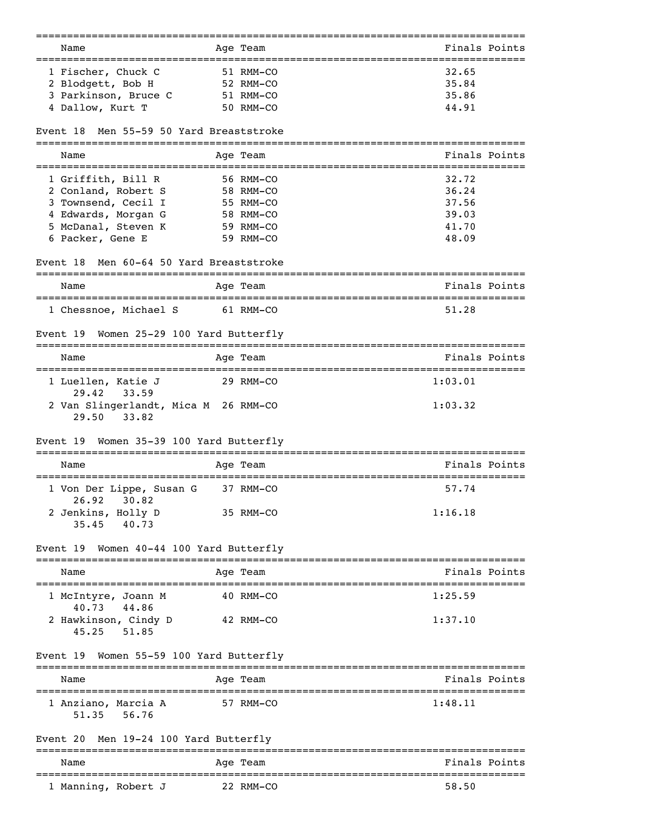| Name                                                       | Age Team               | Finals Points                                     |
|------------------------------------------------------------|------------------------|---------------------------------------------------|
| 1 Fischer, Chuck C                                         | 51 RMM-CO              | 32.65                                             |
| 2 Blodgett, Bob H                                          | 52 RMM-CO              | 35.84                                             |
| 3 Parkinson, Bruce C                                       | 51 RMM-CO              | 35.86                                             |
| 4 Dallow, Kurt T                                           | 50 RMM-CO              | 44.91                                             |
| Men 55-59 50 Yard Breaststroke<br>Event 18                 |                        |                                                   |
| Name                                                       | Aqe Team               | Finals Points<br>================================ |
| 1 Griffith, Bill R                                         | 56 RMM-CO              | 32.72                                             |
| 2 Conland, Robert S                                        | 58 RMM-CO              | 36.24                                             |
| 3 Townsend, Cecil I                                        | 55 RMM-CO              | 37.56                                             |
| 4 Edwards, Morgan G                                        | 58 RMM-CO              | 39.03                                             |
| 5 McDanal, Steven K                                        | 59 RMM-CO              | 41.70                                             |
| 6 Packer, Gene E                                           | 59 RMM-CO              | 48.09                                             |
| Men 60-64 50 Yard Breaststroke<br>Event 18                 | ----------             |                                                   |
| Name                                                       | Age Team               | Finals Points                                     |
| 1 Chessnoe, Michael S                                      | 61 RMM-CO              | 51.28                                             |
|                                                            |                        |                                                   |
| Women 25-29 100 Yard Butterfly<br>Event 19                 |                        |                                                   |
| Name                                                       | Aqe Team               | Finals Points                                     |
| 1 Luellen, Katie J<br>29.42<br>33.59                       | 29 RMM-CO              | 1:03.01                                           |
| 2 Van Slingerlandt, Mica M 26 RMM-CO<br>29.50<br>33.82     |                        | 1:03.32                                           |
| Event 19<br>Women 35-39 100 Yard Butterfly                 |                        |                                                   |
| Name                                                       | ----------<br>Aqe Team | Finals Points                                     |
| 1 Von Der Lippe, Susan G<br>26.92<br>30.82                 | 37 RMM-CO              | 57.74                                             |
| 2 Jenkins, Holly D<br>40.73<br>35.45                       | 35 RMM-CO              | 1:16.18                                           |
| Event 19 Women 40-44 100 Yard Butterfly                    |                        |                                                   |
| ========================<br>Name                           | _________<br>Age Team  | Finals Points                                     |
|                                                            |                        |                                                   |
| 1 McIntyre, Joann M<br>40.73 44.86<br>2 Hawkinson, Cindy D | 40 RMM-CO<br>42 RMM-CO | 1:25.59<br>1:37.10                                |
| $45.25$ $51.85$                                            |                        |                                                   |
| Women 55-59 100 Yard Butterfly<br>Event 19                 |                        |                                                   |
| Name                                                       | Age Team               | Finals Points                                     |
| 1 Anziano, Marcia A<br>56.76<br>51.35                      | 57 RMM-CO              | 1:48.11                                           |
| Men 19-24 100 Yard Butterfly<br>Event 20                   | =========              |                                                   |
| Name                                                       | Age Team               | Finals Points                                     |
| 1 Manning, Robert J                                        | 22 RMM-CO              | 58.50                                             |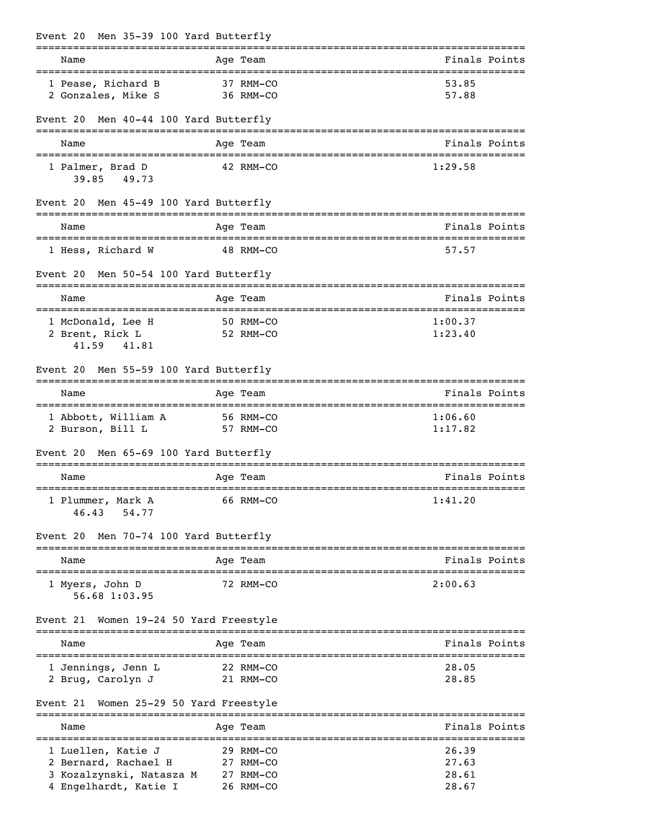| Event 20 Men 35-39 100 Yard Butterfly                                                           |               |  |                                                  |                                  |  |
|-------------------------------------------------------------------------------------------------|---------------|--|--------------------------------------------------|----------------------------------|--|
| Name                                                                                            |               |  | Age Team                                         | Finals Points                    |  |
| 1 Pease, Richard B<br>2 Gonzales, Mike S                                                        |               |  | 37 RMM-CO<br>36 RMM-CO                           | 53.85<br>57.88                   |  |
| Event 20                                                                                        |               |  | Men 40-44 100 Yard Butterfly                     |                                  |  |
| Name                                                                                            |               |  | Age Team                                         | Finals Points                    |  |
| 1 Palmer, Brad D                                                                                | 39.85 49.73   |  | 42 RMM-CO                                        | 1:29.58                          |  |
| Event 20 Men 45-49 100 Yard Butterfly                                                           |               |  |                                                  |                                  |  |
| Name                                                                                            |               |  | Age Team                                         | Finals Points                    |  |
| 1 Hess, Richard W                                                                               |               |  | 48 RMM-CO                                        | 57.57                            |  |
| Event 20 Men 50-54 100 Yard Butterfly                                                           |               |  |                                                  |                                  |  |
| Name                                                                                            |               |  | Age Team                                         | Finals Points                    |  |
| 1 McDonald, Lee H<br>2 Brent, Rick L                                                            | 41.59 41.81   |  | 50 RMM-CO<br>52 RMM-CO                           | 1:00.37<br>1:23.40               |  |
| Event 20                                                                                        |               |  | Men 55-59 100 Yard Butterfly                     |                                  |  |
| Name                                                                                            |               |  | Age Team                                         | Finals Points                    |  |
| 1 Abbott, William A<br>2 Burson, Bill L                                                         |               |  | 56 RMM-CO<br>57 RMM-CO                           | 1:06.60<br>1:17.82               |  |
| Event 20 Men 65-69 100 Yard Butterfly                                                           |               |  |                                                  |                                  |  |
| Name                                                                                            |               |  | Age Team                                         | Finals Points                    |  |
| 1 Plummer, Mark A<br>46.43                                                                      | 54.77         |  | 66 RMM-CO                                        | 1:41.20                          |  |
| Event 20                                                                                        |               |  | Men 70-74 100 Yard Butterfly                     |                                  |  |
| Name                                                                                            |               |  | Age Team                                         | Finals Points                    |  |
| 1 Myers, John D                                                                                 | 56.68 1:03.95 |  | 72 RMM-CO                                        | 2:00.63                          |  |
| Event 21                                                                                        |               |  | Women 19-24 50 Yard Freestyle                    |                                  |  |
| Name                                                                                            |               |  | Age Team                                         | Finals Points                    |  |
| ==================================<br>1 Jennings, Jenn L<br>2 Brug, Carolyn J                   |               |  | 22 RMM-CO<br>21 RMM-CO                           | 28.05<br>28.85                   |  |
| Event 21                                                                                        |               |  | Women 25-29 50 Yard Freestyle                    |                                  |  |
| Name                                                                                            |               |  | Age Team                                         | Finals Points                    |  |
| 1 Luellen, Katie J<br>2 Bernard, Rachael H<br>3 Kozalzynski, Natasza M<br>4 Engelhardt, Katie I |               |  | 29 RMM-CO<br>27 RMM-CO<br>27 RMM-CO<br>26 RMM-CO | 26.39<br>27.63<br>28.61<br>28.67 |  |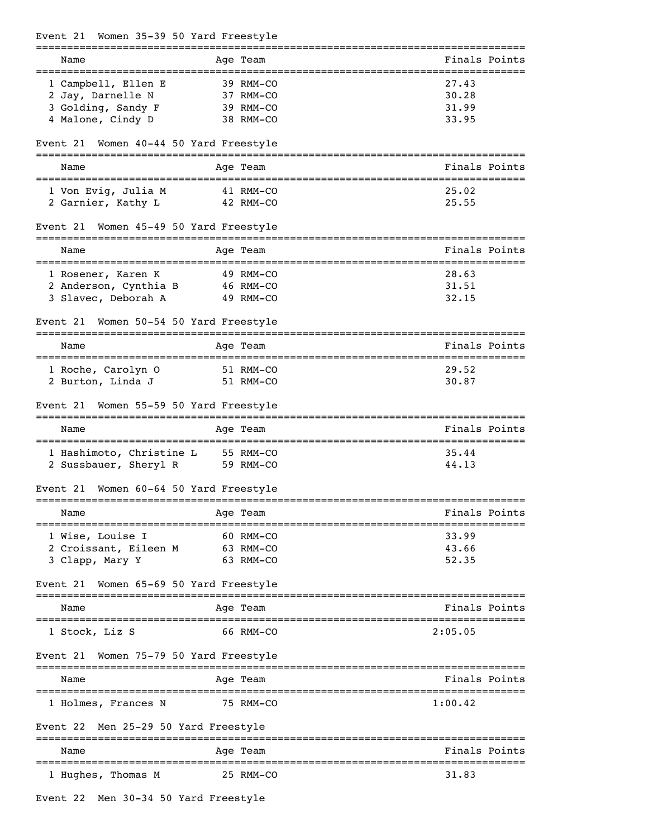| Event 21                                | Women 35-39 50 Yard Freestyle                              |                                  |
|-----------------------------------------|------------------------------------------------------------|----------------------------------|
| Name                                    | Age Team                                                   | Finals Points                    |
| 1 Campbell, Ellen E                     | 39 RMM-CO                                                  | 27.43                            |
| 2 Jay, Darnelle N                       | 37 RMM-CO                                                  | 30.28                            |
| 3 Golding, Sandy F                      | 39 RMM-CO                                                  | 31.99                            |
| 4 Malone, Cindy D                       | 38 RMM-CO                                                  | 33.95                            |
| Event 21                                | Women 40-44 50 Yard Freestyle                              |                                  |
| Name                                    | Age Team                                                   | Finals Points                    |
| 1 Von Evig, Julia M                     | 41 RMM-CO                                                  | 25.02                            |
| 2 Garnier, Kathy L                      | 42 RMM-CO                                                  | 25.55                            |
| Event 21                                | Women 45-49 50 Yard Freestyle                              |                                  |
| Name                                    | Age Team                                                   | Finals Points                    |
| 1 Rosener, Karen K                      | 49 RMM-CO                                                  | 28.63                            |
| 2 Anderson, Cynthia B                   | 46 RMM-CO                                                  | 31.51                            |
| 3 Slavec, Deborah A                     | 49 RMM-CO                                                  | 32.15                            |
| Event 21                                | Women 50-54 50 Yard Freestyle                              |                                  |
| Name                                    | Age Team                                                   | Finals Points                    |
| 1 Roche, Carolyn O                      | 51 RMM-CO                                                  | 29.52                            |
| 2 Burton, Linda J                       | 51 RMM-CO                                                  | 30.87                            |
| Event 21<br>================            | Women 55-59 50 Yard Freestyle<br>========================= |                                  |
| Name                                    | Age Team                                                   | Finals Points                    |
| 1 Hashimoto, Christine L                | 55 RMM-CO                                                  | 35.44                            |
| 2 Sussbauer, Sheryl R                   | 59 RMM-CO                                                  | 44.13                            |
| Event 21                                | Women 60-64 50 Yard Freestyle<br>----------                |                                  |
| Name                                    | Age Team                                                   | Finals Points                    |
| 1 Wise, Louise I                        | 60 RMM-CO                                                  | 33.99                            |
| 2 Croissant, Eileen M                   | 63 RMM-CO                                                  | 43.66                            |
| 3 Clapp, Mary Y                         | 63 RMM-CO                                                  | 52.35                            |
| Event 21                                | Women 65-69 50 Yard Freestyle                              |                                  |
| Name                                    | Age Team                                                   | Finals Points                    |
| 1 Stock, Liz S                          | 66 RMM-CO                                                  | 2:05.05                          |
| Event 21                                | Women 75-79 50 Yard Freestyle                              |                                  |
| Name                                    | Age Team                                                   | Finals Points                    |
| 1 Holmes, Frances N                     | 75 RMM-CO                                                  | 1:00.42                          |
| Men 25-29 50 Yard Freestyle<br>Event 22 |                                                            |                                  |
| Name                                    | Age Team                                                   | Finals Points<br>--------------- |
| 1 Hughes, Thomas M                      | 25 RMM-CO                                                  | 31.83                            |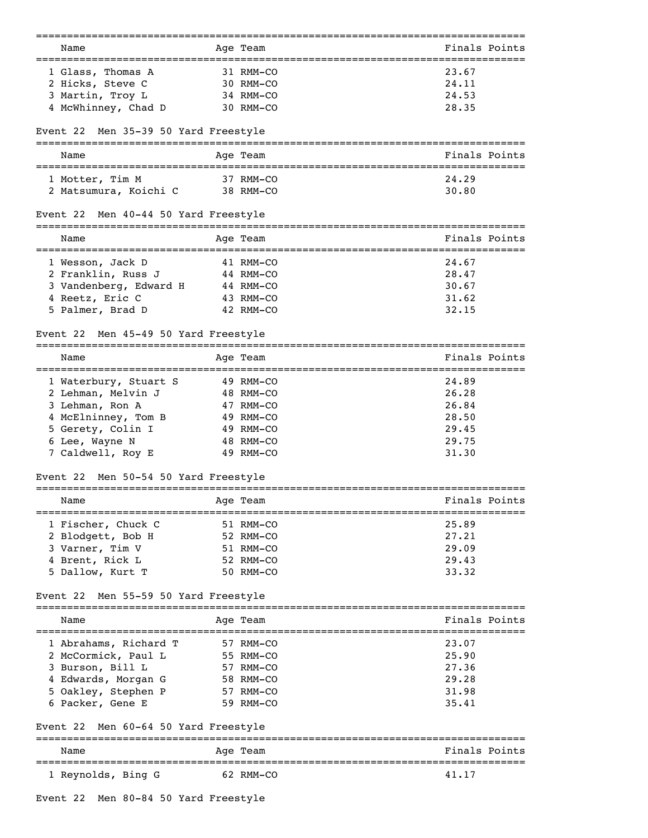| Name                                    | Age Team                  | Finals Points            |
|-----------------------------------------|---------------------------|--------------------------|
|                                         |                           |                          |
| 1 Glass, Thomas A                       | 31 RMM-CO                 | 23.67                    |
| 2 Hicks, Steve C                        | 30 RMM-CO                 | 24.11                    |
| 3 Martin, Troy L                        | 34 RMM-CO                 | 24.53                    |
| 4 McWhinney, Chad D                     | 30 RMM-CO                 | 28.35                    |
| Men 35-39 50 Yard Freestyle<br>Event 22 |                           |                          |
| Name                                    | Aqe Team                  | Finals Points            |
| 1 Motter, Tim M                         | 37 RMM-CO                 | 24.29                    |
| 2 Matsumura, Koichi C                   | 38 RMM-CO                 | 30.80                    |
| Men 40-44 50 Yard Freestyle<br>Event 22 |                           |                          |
| Name                                    | Age Team                  | Finals Points            |
| 1 Wesson, Jack D                        | 41 RMM-CO                 | 24.67                    |
| 2 Franklin, Russ J                      | 44 RMM-CO                 | 28.47                    |
| 3 Vandenberg, Edward H                  | 44 RMM-CO                 | 30.67                    |
| 4 Reetz, Eric C                         | 43 RMM-CO                 | 31.62                    |
| 5 Palmer, Brad D                        | 42 RMM-CO                 | 32.15                    |
| Men 45-49 50 Yard Freestyle<br>Event 22 |                           |                          |
| Name                                    | Age Team                  | Finals Points            |
| 1 Waterbury, Stuart S                   | 49 RMM-CO                 | 24.89                    |
| 2 Lehman, Melvin J                      | 48 RMM-CO                 | 26.28                    |
| 3 Lehman, Ron A                         | 47 RMM-CO                 | 26.84                    |
| 4 McElninney, Tom B                     | 49 RMM-CO                 | 28.50                    |
| 5 Gerety, Colin I                       | 49 RMM-CO                 | 29.45                    |
| 6 Lee, Wayne N                          | 48 RMM-CO                 | 29.75                    |
| 7 Caldwell, Roy E                       | 49 RMM-CO                 | 31.30                    |
| Men 50-54 50 Yard Freestyle<br>Event 22 | ========                  |                          |
| Name                                    | Age Team                  | Finals Points            |
| 1 Fischer, Chuck C                      | 51 RMM-CO                 | 25.89                    |
| 2 Blodgett, Bob H                       | 52 RMM-CO                 | 27.21                    |
| 3 Varner, Tim V                         | 51 RMM-CO                 | 29.09                    |
| 4 Brent, Rick L                         | 52 RMM-CO                 | 29.43                    |
| 5 Dallow, Kurt T                        | 50 RMM-CO                 | 33.32                    |
| Men 55-59 50 Yard Freestyle<br>Event 22 |                           |                          |
| ============================<br>Name    | Age Team                  | Finals Points            |
| 1 Abrahams, Richard T                   | 57 RMM-CO                 | 23.07                    |
| 2 McCormick, Paul L                     | 55 RMM-CO                 | 25.90                    |
| 3 Burson, Bill L                        | 57 RMM-CO                 | 27.36                    |
| 4 Edwards, Morgan G                     | 58 RMM-CO                 | 29.28                    |
| 5 Oakley, Stephen P                     | 57 RMM-CO                 | 31.98                    |
| 6 Packer, Gene E                        | 59 RMM-CO                 | 35.41                    |
| Event 22<br>Men 60-64 50 Yard Freestyle |                           |                          |
| Name                                    | Age Team                  | Finals Points            |
| 1 Reynolds, Bing G                      | ------------<br>62 RMM-CO | ---------------<br>41.17 |
|                                         |                           |                          |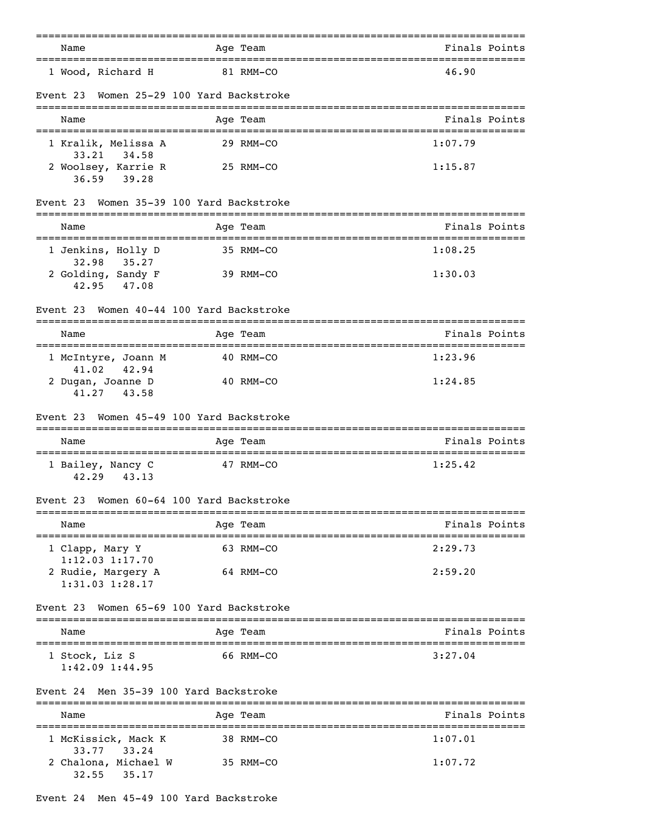|                                                                               | =========                       | ------------------------------                    |
|-------------------------------------------------------------------------------|---------------------------------|---------------------------------------------------|
| Name<br>==========================                                            | Age Team                        | Finals Points<br>================================ |
| 1 Wood, Richard H                                                             | 81 RMM-CO                       | 46.90                                             |
| Event 23                                                                      | Women 25-29 100 Yard Backstroke |                                                   |
| Name                                                                          | Age Team                        | Finals Points                                     |
| 1 Kralik, Melissa A                                                           | 29 RMM-CO                       | 1:07.79                                           |
| 33.21 34.58<br>2 Woolsey, Karrie R<br>$36.59$ $39.28$                         | 25 RMM-CO                       | 1:15.87                                           |
| Event 23                                                                      | Women 35-39 100 Yard Backstroke |                                                   |
| Name<br>==================================                                    | Age Team                        | Finals Points<br>================================ |
| 1 Jenkins, Holly D<br>32.98<br>35.27                                          | 35 RMM-CO                       | 1:08.25                                           |
| 2 Golding, Sandy F<br>42.95 47.08                                             | 39 RMM-CO                       | 1:30.03                                           |
| Event 23                                                                      | Women 40-44 100 Yard Backstroke |                                                   |
| Name                                                                          | Age Team                        | Finals Points                                     |
| 1 McIntyre, Joann M                                                           | 40 RMM-CO                       | 1:23.96                                           |
| 41.02<br>42.94<br>2 Dugan, Joanne D<br>41.27<br>43.58                         | 40 RMM-CO                       | 1:24.85                                           |
| Event 23                                                                      | Women 45-49 100 Yard Backstroke |                                                   |
| Name                                                                          | Age Team                        | Finals Points                                     |
| ======================================<br>1 Bailey, Nancy C<br>42.29<br>43.13 | 47 RMM-CO                       | ====================================<br>1:25.42   |
| Event 23                                                                      | Women 60-64 100 Yard Backstroke |                                                   |
| Name                                                                          | ================<br>Age Team    | Finals Points                                     |
| -------------------------------<br>1 Clapp, Mary Y                            | 63 RMM-CO                       | 2:29.73                                           |
| $1:12.03$ $1:17.70$<br>2 Rudie, Margery A<br>1:31.03 1:28.17                  | 64 RMM-CO                       | 2:59.20                                           |
| Event 23                                                                      | Women 65-69 100 Yard Backstroke |                                                   |
| Name                                                                          | Age Team                        | Finals Points                                     |
| 1 Stock, Liz S<br>$1:42.09$ $1:44.95$                                         | 66 RMM-CO                       | 3:27.04                                           |
| Men 35-39 100 Yard Backstroke<br>Event 24                                     |                                 |                                                   |
| Name                                                                          | Age Team                        | Finals Points                                     |
| ==================================<br>1 McKissick, Mack K                     | 38 RMM-CO                       | __________________________________<br>1:07.01     |
| 33.24<br>33.77<br>2 Chalona, Michael W                                        | 35 RMM-CO                       | 1:07.72                                           |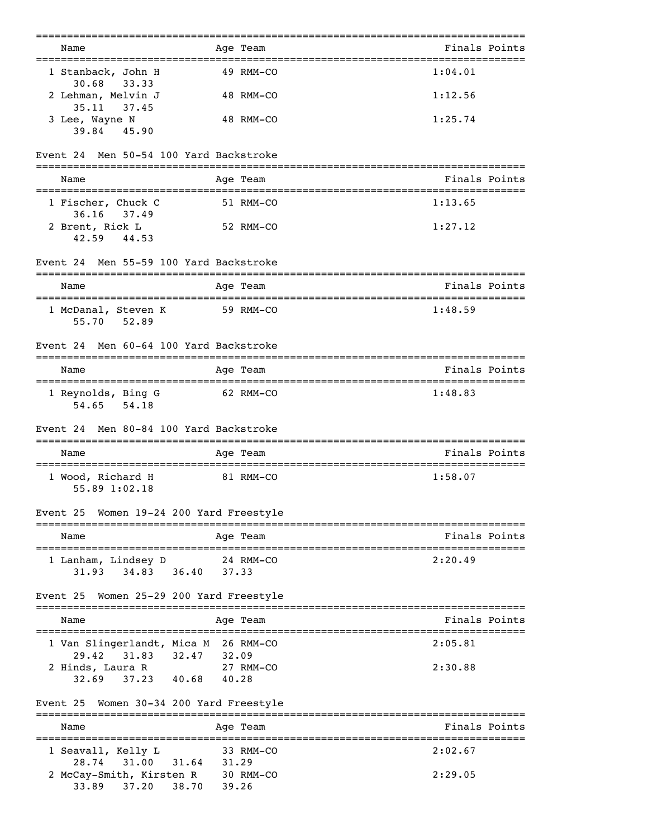| Name<br>------------------------------------                                             | Age Team           | Finals Points |
|------------------------------------------------------------------------------------------|--------------------|---------------|
| 1 Stanback, John H<br>30.68<br>33.33                                                     | 49 RMM-CO          | 1:04.01       |
| 2 Lehman, Melvin J<br>$35.11$ $37.45$                                                    | 48 RMM-CO          | 1:12.56       |
| 3 Lee, Wayne N<br>39.84 45.90                                                            | 48 RMM-CO          | 1:25.74       |
| Men 50-54 100 Yard Backstroke<br>Event 24                                                |                    |               |
| Name                                                                                     | Age Team           | Finals Points |
| 1 Fischer, Chuck C<br>36.16 37.49                                                        | 51 RMM-CO          | 1:13.65       |
| 2 Brent, Rick L<br>42.59<br>44.53                                                        | 52 RMM-CO          | 1:27.12       |
| Event 24 Men 55-59 100 Yard Backstroke                                                   | =============      |               |
| Name                                                                                     | Age Team           | Finals Points |
| 1 McDanal, Steven K<br>55.70 52.89                                                       | 59 RMM-CO          | 1:48.59       |
| Men 60-64 100 Yard Backstroke<br>Event 24                                                |                    |               |
| Name                                                                                     | Age Team           | Finals Points |
| 1 Reynolds, Bing G<br>54.65 54.18                                                        | 62 RMM-CO          | 1:48.83       |
| Event 24 Men 80-84 100 Yard Backstroke                                                   |                    |               |
| Name                                                                                     | Age Team           | Finals Points |
| 1 Wood, Richard H<br>55.89 1:02.18                                                       | 81 RMM-CO          | 1:58.07       |
| Event 25 Women 19-24 200 Yard Freestyle                                                  |                    |               |
| Name                                                                                     | Age Team           | Finals Points |
| 1 Lanham, Lindsey D<br>36.40<br>31.93<br>34.83                                           | 24 RMM-CO<br>37.33 | 2:20.49       |
| Women 25-29 200 Yard Freestyle<br>Event 25                                               |                    |               |
| Name                                                                                     | Age Team           | Finals Points |
| 1 Van Slingerlandt, Mica M 26 RMM-CO<br>29.42<br>31.83 32.47 32.09                       |                    | 2:05.81       |
| 2 Hinds, Laura R<br>37.23 40.68<br>32.69                                                 | 27 RMM-CO<br>40.28 | 2:30.88       |
| Women 30-34 200 Yard Freestyle<br>Event 25                                               |                    |               |
| Name                                                                                     | Age Team           | Finals Points |
| 1 Seavall, Kelly L                                                                       | 33 RMM-CO          | 2:02.67       |
| 31.64<br>28.74<br>31.00<br>2 McCay-Smith, Kirsten R 30 RMM-CO<br>38.70<br>33.89<br>37.20 | 31.29<br>39.26     | 2:29.05       |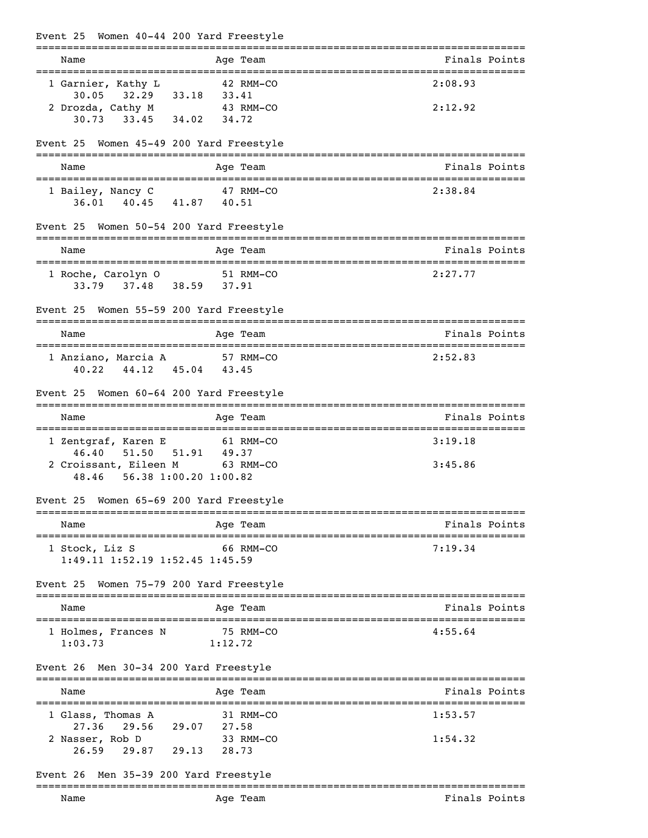| Event 25 Women 40-44 200 Yard Freestyle                                                            |               |
|----------------------------------------------------------------------------------------------------|---------------|
| Age Team<br>Name                                                                                   | Finals Points |
| 1 Garnier, Kathy L<br>42 RMM-CO                                                                    | 2:08.93       |
| $30.05$ $32.29$ $33.18$<br>33.41<br>2 Drozda, Cathy M 43 RMM-CO<br>30.73 33.45 34.02 34.72         | 2:12.92       |
| Event 25 Women 45-49 200 Yard Freestyle                                                            |               |
| Age Team<br>Name                                                                                   | Finals Points |
| 1 Bailey, Nancy C 47 RMM-CO<br>36.01 40.45 41.87 40.51                                             | 2:38.84       |
| Event 25 Women 50-54 200 Yard Freestyle                                                            |               |
| Name<br>Age Team                                                                                   | Finals Points |
| 1 Roche, Carolyn 0 51 RMM-CO<br>33.79 37.48 38.59 37.91                                            | 2:27.77       |
| Event 25 Women 55-59 200 Yard Freestyle                                                            |               |
| Name<br>Age Team                                                                                   | Finals Points |
| 1 Anziano, Marcia A 57 RMM-CO<br>40.22 44.12 45.04 43.45                                           | 2:52.83       |
| Event 25 Women 60-64 200 Yard Freestyle                                                            |               |
| Age Team<br>Name                                                                                   | Finals Points |
| 1 Zentgraf, Karen E<br>61 RMM-CO                                                                   | 3:19.18       |
| 51.50<br>51.91 49.37<br>46.40<br>2 Croissant, Eileen M<br>63 RMM-CO<br>48.46 56.38 1:00.20 1:00.82 | 3:45.86       |
| Event 25 Women 65-69 200 Yard Freestyle                                                            |               |
| Age Team<br>Name                                                                                   | Finals Points |
| 66 RMM-CO<br>1 Stock, Liz S<br>1:49.11 1:52.19 1:52.45 1:45.59                                     | 7:19.34       |
| Event 25 Women 75-79 200 Yard Freestyle                                                            |               |
| Name<br>Age Team                                                                                   | Finals Points |
| 75 RMM-CO<br>1 Holmes, Frances N<br>1:12.72<br>1:03.73                                             | 4:55.64       |
| Event 26 Men 30-34 200 Yard Freestyle                                                              |               |
| Age Team<br>Name                                                                                   | Finals Points |
| 1 Glass, Thomas A<br>31 RMM-CO                                                                     | 1:53.57       |
| 27.36 29.56 29.07 27.58<br>2 Nasser, Rob D<br>33 RMM-CO<br>26.59 29.87 29.13 28.73                 | 1:54.32       |
| Event 26 Men 35-39 200 Yard Freestyle                                                              |               |
| Name<br>Age Team                                                                                   | Finals Points |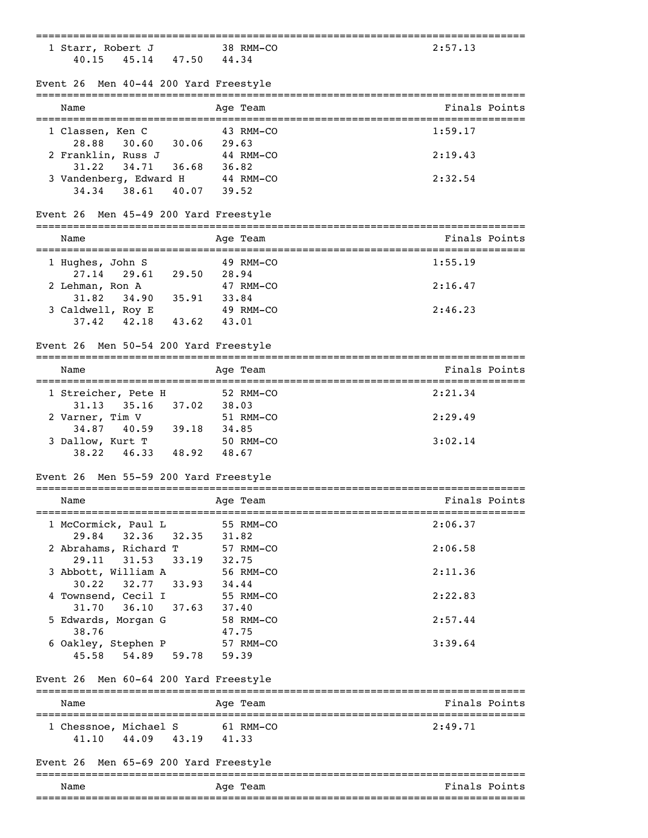| ============                                              |                          | ===========================                         |
|-----------------------------------------------------------|--------------------------|-----------------------------------------------------|
| 1 Starr, Robert J                                         | 38 RMM-CO                | 2:57.13                                             |
| 45.14 47.50 44.34<br>40.15                                |                          |                                                     |
|                                                           |                          |                                                     |
| Event 26 Men 40-44 200 Yard Freestyle                     |                          |                                                     |
|                                                           |                          |                                                     |
| Name                                                      | Age Team                 | Finals Points                                       |
|                                                           | 43 RMM-CO                | 1:59.17                                             |
| 1 Classen, Ken C<br>$30.60$ $30.06$ 29.63<br>28.88        |                          |                                                     |
|                                                           |                          | 2:19.43                                             |
| 2 Franklin, Russ J<br>31.22<br>34.71                      | 44 RMM-CO<br>36.68 36.82 |                                                     |
|                                                           |                          | 2:32.54                                             |
| 3 Vandenberg, Edward H<br>34.34 38.61                     | 44 RMM-CO<br>40.07 39.52 |                                                     |
|                                                           |                          |                                                     |
| Event 26 Men 45-49 200 Yard Freestyle                     |                          |                                                     |
|                                                           |                          |                                                     |
| Name<br>===================================               | Age Team                 | Finals Points<br>---------------------------------- |
| 1 Hughes, John S                                          | 49 RMM-CO                | 1:55.19                                             |
| 27.14<br>29.61 29.50 28.94                                |                          |                                                     |
| 2 Lehman, Ron A                                           | 47 RMM-CO                | 2:16.47                                             |
| 34.90 35.91 33.84<br>31.82                                |                          |                                                     |
|                                                           | 49 RMM-CO                | 2:46.23                                             |
| 3 Caldwell, Roy E<br>3 Caldwell, Roy E<br>3 3.62<br>43.01 |                          |                                                     |
|                                                           |                          |                                                     |
| Event 26 Men 50-54 200 Yard Freestyle                     |                          |                                                     |
| Name                                                      | Age Team                 | Finals Points                                       |
|                                                           |                          |                                                     |
| 1 Streicher, Pete H                                       | 52 RMM-CO                | 2:21.34                                             |
| $31.13$ $35.16$ $37.02$                                   | 38.03                    |                                                     |
| 2 Varner, Tim V                                           | 51 RMM-CO                | 2:29.49                                             |
| 34.87 40.59 39.18                                         | 34.85                    |                                                     |
| 3 Dallow, Kurt T                                          | 50 RMM-CO                | 3:02.14                                             |
| 48.92<br>46.33<br>38.22                                   | 48.67                    |                                                     |
| Event 26 Men 55-59 200 Yard Freestyle                     |                          |                                                     |
|                                                           |                          |                                                     |
| Name                                                      | Age Team                 | Finals Points                                       |
| 1 McCormick, Paul L                                       | 55 RMM-CO                | 2:06.37                                             |
| 32.35<br>29.84<br>32.36                                   | 31.82                    |                                                     |
| 2 Abrahams, Richard T                                     | 57 RMM-CO                | 2:06.58                                             |
| 29.11 31.53                                               | 33.19 32.75              |                                                     |
| 3 Abbott, William A                                       | 56 RMM-CO                | 2:11.36                                             |
| 30.22<br>32.77 33.93 34.44                                |                          |                                                     |
| 4 Townsend, Cecil I                                       | 55 RMM-CO                | 2:22.83                                             |
| 37.63<br>31.70 36.10                                      | 55 RM<br>37.40           |                                                     |
| 5 Edwards, Morgan G                                       | 58 RMM-CO                | 2:57.44                                             |
| 38.76                                                     | 47.75                    |                                                     |
| 6 Oakley, Stephen P                                       | 57 RMM-CO                | 3:39.64                                             |
| 45.58 54.89                                               | 59.78 59.39              |                                                     |
|                                                           |                          |                                                     |
| Event 26 Men 60-64 200 Yard Freestyle                     |                          |                                                     |
| Name                                                      | Age Team                 | Finals Points                                       |
|                                                           |                          |                                                     |
| 1 Chessnoe, Michael S                                     | 61 RMM-CO                | 2:49.71                                             |
| 44.09 43.19 41.33<br>41.10                                |                          |                                                     |
|                                                           |                          |                                                     |
| Event 26 Men 65-69 200 Yard Freestyle                     |                          |                                                     |
| Name                                                      | Age Team                 | Finals Points                                       |
|                                                           |                          |                                                     |